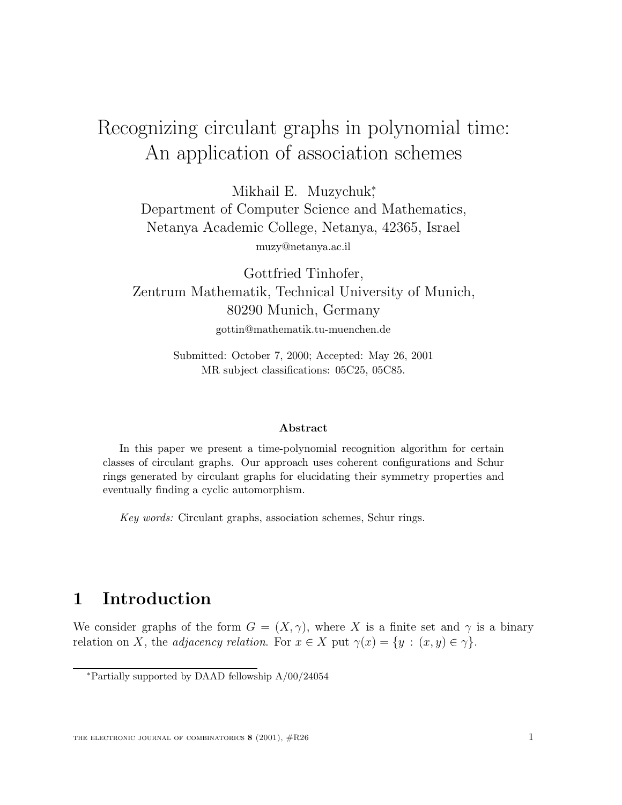# $\Delta$ n annication of association schemes  $\mathbf{P}$  and association schemes schemes schemes schemes schemes schemes schemes schemes schemes schemes schemes schemes schemes schemes schemes schemes schemes schemes schemes schemes schemes schemes schemes schemes sche

Mikhail E. Muzychuk; Department of Computer Science and Mathematics, Netanya Academic College, Netanya, 42365, Israel muzy@netanya.ac.il

Gottfried Tinhofer, Zentrum Mathematik, Technical University of Munich, 80290 Munich, Germany gottin@mathematik.tu-muenchen.de

> Submitted: October 7, 2000; Accepted: May 26, 2001 MR subject classifications: 05C25, 05C85.

#### **Abstract**

In this paper we present a time-polynomial recognition algorithm for certain classes of circulant graphs. Our approach uses coherent configurations and Schur rings generated by circulant graphs for elucidating their symmetry properties and eventually finding a cyclic automorphism.

Key words: Circulant graphs, association schemes, Schur rings.

# **1 Introduction**

We consider graphs of the form  $G = (X, \gamma)$ , where X is a finite set and  $\gamma$  is a binary relation on X, the *adjacency relation*. For  $x \in X$  put  $\gamma(x) = \{y : (x, y) \in \gamma\}.$ 

<sup>∗</sup>Partially supported by DAAD fellowship A/00/24054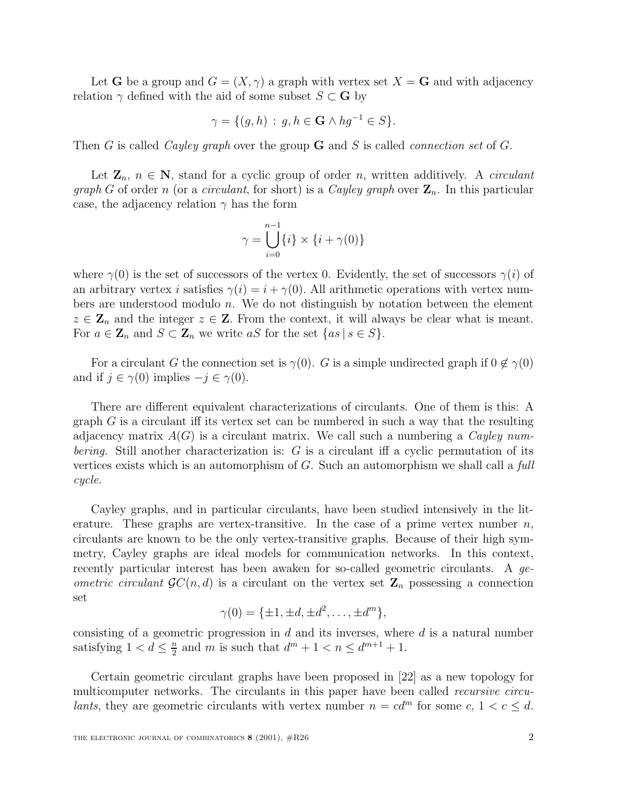Let **G** be a group and  $G = (X, \gamma)$  a graph with vertex set  $X = \mathbf{G}$  and with adjacency relation  $\gamma$  defined with the aid of some subset  $S \subset \mathbf{G}$  by

$$
\gamma = \{ (g, h) : g, h \in \mathbf{G} \land hg^{-1} \in S \}.
$$

Then G is called Cayley graph over the group **G** and S is called connection set of G.

Let  $\mathbf{Z}_n$ ,  $n \in \mathbf{N}$ , stand for a cyclic group of order n, written additively. A *circulant graph G* of order n (or a *circulant*, for short) is a *Cayley graph* over  $\mathbf{Z}_n$ . In this particular case, the adjacency relation  $\gamma$  has the form

$$
\gamma = \bigcup_{i=0}^{n-1} \{i\} \times \{i + \gamma(0)\}
$$

where  $\gamma(0)$  is the set of successors of the vertex 0. Evidently, the set of successors  $\gamma(i)$  of an arbitrary vertex i satisfies  $\gamma(i) = i + \gamma(0)$ . All arithmetic operations with vertex numbers are understood modulo n. We do not distinguish by notation between the element  $z \in \mathbf{Z}_n$  and the integer  $z \in \mathbf{Z}$ . From the context, it will always be clear what is meant. For  $a \in \mathbb{Z}_n$  and  $S \subset \mathbb{Z}_n$  we write aS for the set  $\{as \mid s \in S\}.$ 

For a circulant G the connection set is  $\gamma(0)$ . G is a simple undirected graph if  $0 \notin \gamma(0)$ and if  $j \in \gamma(0)$  implies  $-j \in \gamma(0)$ .

There are different equivalent characterizations of circulants. One of them is this: A graph  $G$  is a circulant iff its vertex set can be numbered in such a way that the resulting adjacency matrix  $A(G)$  is a circulant matrix. We call such a numbering a Cayley num*bering.* Still another characterization is:  $G$  is a circulant iff a cyclic permutation of its vertices exists which is an automorphism of  $G$ . Such an automorphism we shall call a full cycle.

Cayley graphs, and in particular circulants, have been studied intensively in the literature. These graphs are vertex-transitive. In the case of a prime vertex number  $n$ , circulants are known to be the only vertex-transitive graphs. Because of their high symmetry, Cayley graphs are ideal models for communication networks. In this context, recently particular interest has been awaken for so-called geometric circulants. A geometric circulant  $\mathcal{G}C(n, d)$  is a circulant on the vertex set  $\mathbf{Z}_n$  possessing a connection set

$$
\gamma(0) = \{\pm 1, \pm d, \pm d^2, \dots, \pm d^m\},\
$$

consisting of a geometric progression in  $d$  and its inverses, where  $d$  is a natural number satisfying  $1 < d \leq \frac{n}{2}$  and m is such that  $d^m + 1 < n \leq d^{m+1} + 1$ .

Certain geometric circulant graphs have been proposed in [22] as a new topology for multicomputer networks. The circulants in this paper have been called recursive circulants, they are geometric circulants with vertex number  $n = cd^m$  for some c,  $1 < c < d$ .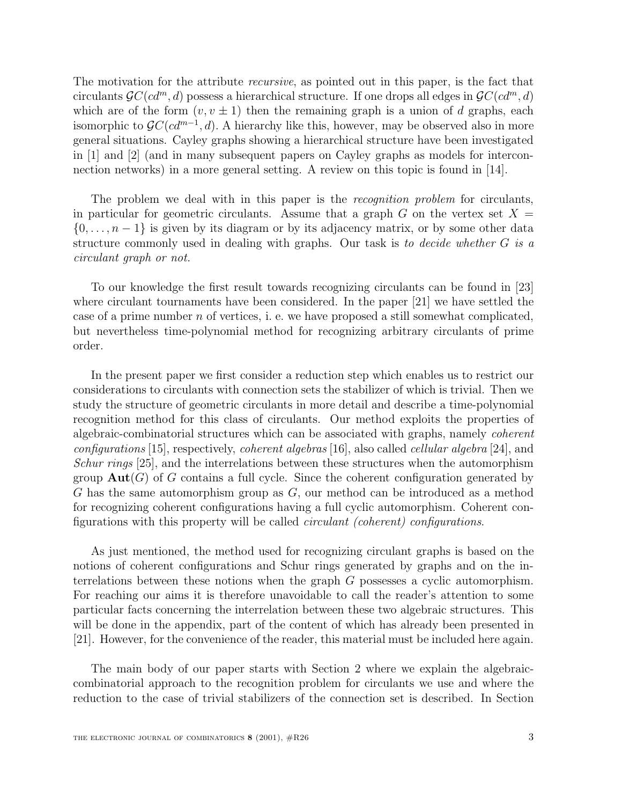The motivation for the attribute recursive, as pointed out in this paper, is the fact that circulants  $\mathcal{G}C(cd^m, d)$  possess a hierarchical structure. If one drops all edges in  $\mathcal{G}C(cd^m, d)$ which are of the form  $(v, v \pm 1)$  then the remaining graph is a union of d graphs, each isomorphic to  $\mathcal{G}C(cd^{m-1}, d)$ . A hierarchy like this, however, may be observed also in more general situations. Cayley graphs showing a hierarchical structure have been investigated in [1] and [2] (and in many subsequent papers on Cayley graphs as models for interconnection networks) in a more general setting. A review on this topic is found in [14].

The problem we deal with in this paper is the *recognition problem* for circulants, in particular for geometric circulants. Assume that a graph G on the vertex set  $X =$  $\{0,\ldots,n-1\}$  is given by its diagram or by its adjacency matrix, or by some other data structure commonly used in dealing with graphs. Our task is to decide whether G is a circulant graph or not.

To our knowledge the first result towards recognizing circulants can be found in [23] where circulant tournaments have been considered. In the paper [21] we have settled the case of a prime number  $n$  of vertices, i. e. we have proposed a still somewhat complicated, but nevertheless time-polynomial method for recognizing arbitrary circulants of prime order.

In the present paper we first consider a reduction step which enables us to restrict our considerations to circulants with connection sets the stabilizer of which is trivial. Then we study the structure of geometric circulants in more detail and describe a time-polynomial recognition method for this class of circulants. Our method exploits the properties of algebraic-combinatorial structures which can be associated with graphs, namely coherent configurations [15], respectively, *coherent algebras* [16], also called *cellular algebra* [24], and Schur rings [25], and the interrelations between these structures when the automorphism group  $\text{Aut}(G)$  of G contains a full cycle. Since the coherent configuration generated by G has the same automorphism group as G, our method can be introduced as a method for recognizing coherent configurations having a full cyclic automorphism. Coherent configurations with this property will be called circulant (coherent) configurations.

As just mentioned, the method used for recognizing circulant graphs is based on the notions of coherent configurations and Schur rings generated by graphs and on the interrelations between these notions when the graph G possesses a cyclic automorphism. For reaching our aims it is therefore unavoidable to call the reader's attention to some particular facts concerning the interrelation between these two algebraic structures. This will be done in the appendix, part of the content of which has already been presented in [21]. However, for the convenience of the reader, this material must be included here again.

The main body of our paper starts with Section 2 where we explain the algebraiccombinatorial approach to the recognition problem for circulants we use and where the reduction to the case of trivial stabilizers of the connection set is described. In Section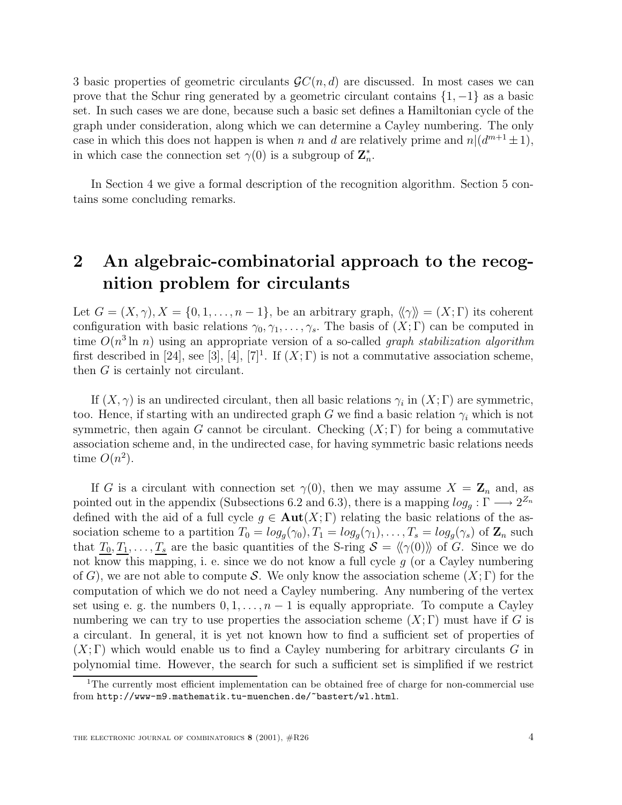3 basic properties of geometric circulants  $\mathcal{G}C(n, d)$  are discussed. In most cases we can prove that the Schur ring generated by a geometric circulant contains  $\{1, -1\}$  as a basic set. In such cases we are done, because such a basic set defines a Hamiltonian cycle of the graph under consideration, along which we can determine a Cayley numbering. The only case in which this does not happen is when n and d are relatively prime and  $n|(d^{m+1} \pm 1)$ , in which case the connection set  $\gamma(0)$  is a subgroup of  $\mathbb{Z}_n^*$ .

In Section 4 we give a formal description of the recognition algorithm. Section 5 contains some concluding remarks.

# **2 An algebraic-combinatorial approach to the recognition problem for circulants**

Let  $G = (X, \gamma), X = \{0, 1, \ldots, n-1\}$ , be an arbitrary graph,  $\langle \gamma \rangle = (X; \Gamma)$  its coherent configuration with basic relations  $\gamma_0, \gamma_1, \ldots, \gamma_s$ . The basis of  $(X; \Gamma)$  can be computed in time  $O(n^3 \ln n)$  using an appropriate version of a so-called *graph stabilization algorithm* first described in [24], see [3], [4], [7]<sup>1</sup>. If  $(X;\Gamma)$  is not a commutative association scheme, then G is certainly not circulant.

If  $(X, \gamma)$  is an undirected circulant, then all basic relations  $\gamma_i$  in  $(X; \Gamma)$  are symmetric, too. Hence, if starting with an undirected graph G we find a basic relation  $\gamma_i$  which is not symmetric, then again G cannot be circulant. Checking  $(X; \Gamma)$  for being a commutative association scheme and, in the undirected case, for having symmetric basic relations needs time  $O(n^2)$ .

If G is a circulant with connection set  $\gamma(0)$ , then we may assume  $X = \mathbb{Z}_n$  and, as pointed out in the appendix (Subsections 6.2 and 6.3), there is a mapping  $log_q : \Gamma \longrightarrow 2^{Z_n}$ defined with the aid of a full cycle  $g \in Aut(X; \Gamma)$  relating the basic relations of the association scheme to a partition  $T_0 = log_g(\gamma_0), T_1 = log_g(\gamma_1), \ldots, T_s = log_g(\gamma_s)$  of  $\mathbb{Z}_n$  such that  $T_0, T_1, \ldots, T_s$  are the basic quantities of the S-ring  $S = \langle \langle \gamma(0) \rangle \rangle$  of G. Since we do not know this mapping, i. e. since we do not know a full cycle  $g$  (or a Cayley numbering of G), we are not able to compute S. We only know the association scheme  $(X; \Gamma)$  for the computation of which we do not need a Cayley numbering. Any numbering of the vertex set using e. g. the numbers  $0, 1, \ldots, n-1$  is equally appropriate. To compute a Cayley numbering we can try to use properties the association scheme  $(X; \Gamma)$  must have if G is a circulant. In general, it is yet not known how to find a sufficient set of properties of  $(X; \Gamma)$  which would enable us to find a Cayley numbering for arbitrary circulants G in polynomial time. However, the search for such a sufficient set is simplified if we restrict

<sup>&</sup>lt;sup>1</sup>The currently most efficient implementation can be obtained free of charge for non-commercial use from http://www-m9.mathematik.tu-muenchen.de/~bastert/wl.html.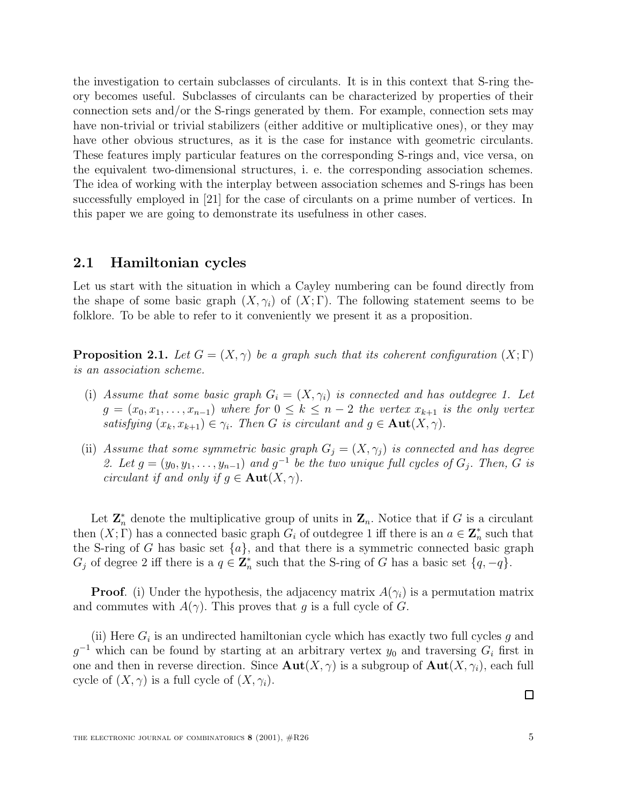the investigation to certain subclasses of circulants. It is in this context that S-ring theory becomes useful. Subclasses of circulants can be characterized by properties of their connection sets and/or the S-rings generated by them. For example, connection sets may have non-trivial or trivial stabilizers (either additive or multiplicative ones), or they may have other obvious structures, as it is the case for instance with geometric circulants. These features imply particular features on the corresponding S-rings and, vice versa, on the equivalent two-dimensional structures, i. e. the corresponding association schemes. The idea of working with the interplay between association schemes and S-rings has been successfully employed in [21] for the case of circulants on a prime number of vertices. In this paper we are going to demonstrate its usefulness in other cases.

## **2.1 Hamiltonian cycles**

Let us start with the situation in which a Cayley numbering can be found directly from the shape of some basic graph  $(X, \gamma_i)$  of  $(X, \Gamma)$ . The following statement seems to be folklore. To be able to refer to it conveniently we present it as a proposition.

**Proposition 2.1.** Let  $G = (X, \gamma)$  be a graph such that its coherent configuration  $(X; \Gamma)$ is an association scheme.

- (i) Assume that some basic graph  $G_i = (X, \gamma_i)$  is connected and has outdegree 1. Let  $g = (x_0, x_1, \ldots, x_{n-1})$  where for  $0 \leq k \leq n-2$  the vertex  $x_{k+1}$  is the only vertex satisfying  $(x_k, x_{k+1}) \in \gamma_i$ . Then G is circulant and  $g \in \text{Aut}(X, \gamma)$ .
- (ii) Assume that some symmetric basic graph  $G_j = (X, \gamma_j)$  is connected and has degree 2. Let  $g = (y_0, y_1, \ldots, y_{n-1})$  and  $g^{-1}$  be the two unique full cycles of  $G_i$ . Then, G is circulant if and only if  $g \in \text{Aut}(X, \gamma)$ .

Let  $\mathbf{Z}_n^*$  denote the multiplicative group of units in  $\mathbf{Z}_n$ . Notice that if G is a circulant then  $(X; \Gamma)$  has a connected basic graph  $G_i$  of outdegree 1 iff there is an  $a \in \mathbb{Z}_n^*$  such that the S-ring of G has basic set  $\{a\}$ , and that there is a symmetric connected basic graph  $G_j$  of degree 2 iff there is a  $q \in \mathbb{Z}_n^*$  such that the S-ring of G has a basic set  $\{q, -q\}$ .

**Proof.** (i) Under the hypothesis, the adjacency matrix  $A(\gamma_i)$  is a permutation matrix and commutes with  $A(\gamma)$ . This proves that g is a full cycle of G.

(ii) Here  $G_i$  is an undirected hamiltonian cycle which has exactly two full cycles g and  $g^{-1}$  which can be found by starting at an arbitrary vertex  $y_0$  and traversing  $G_i$  first in one and then in reverse direction. Since  $\text{Aut}(X, \gamma)$  is a subgroup of  $\text{Aut}(X, \gamma_i)$ , each full cycle of  $(X, \gamma)$  is a full cycle of  $(X, \gamma_i)$ .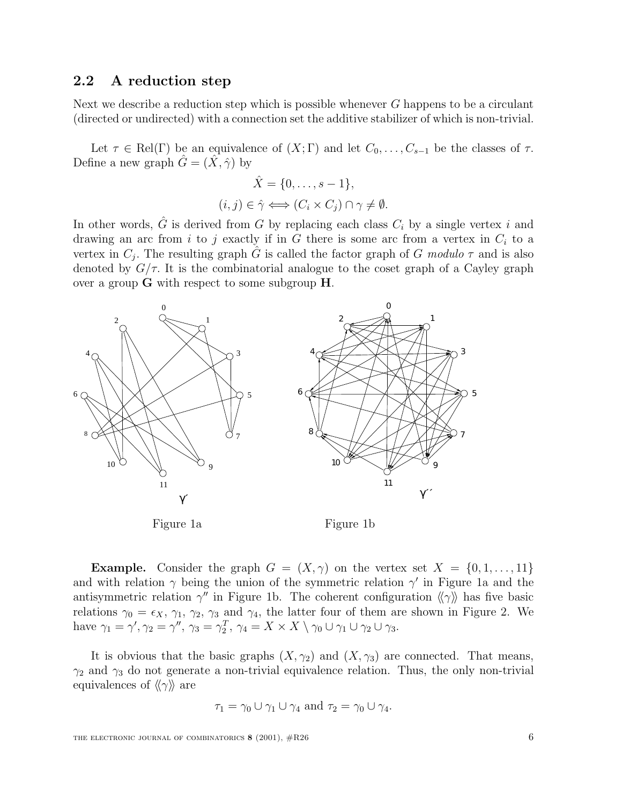## **2.2 A reduction step**

Next we describe a reduction step which is possible whenever  $G$  happens to be a circulant (directed or undirected) with a connection set the additive stabilizer of which is non-trivial.

Let  $\tau \in Rel(\Gamma)$  be an equivalence of  $(X;\Gamma)$  and let  $C_0,\ldots,C_{s-1}$  be the classes of  $\tau$ . Define a new graph  $\hat{G} = (\hat{X}, \hat{\gamma})$  by

$$
\hat{X} = \{0, \dots, s - 1\},\
$$

$$
(i, j) \in \hat{\gamma} \Longleftrightarrow (C_i \times C_j) \cap \gamma \neq \emptyset.
$$

In other words,  $\hat{G}$  is derived from G by replacing each class  $C_i$  by a single vertex i and drawing an arc from i to j exactly if in  $G$  there is some arc from a vertex in  $C_i$  to a vertex in  $C_j$ . The resulting graph G is called the factor graph of G modulo  $\tau$  and is also denoted by  $G/\tau$ . It is the combinatorial analogue to the coset graph of a Cayley graph over a group **G** with respect to some subgroup **H**.



**Example.** Consider the graph  $G = (X, \gamma)$  on the vertex set  $X = \{0, 1, \ldots, 11\}$ and with relation  $\gamma$  being the union of the symmetric relation  $\gamma'$  in Figure 1a and the antisymmetric relation  $\gamma''$  in Figure 1b. The coherent configuration  $\langle \gamma \rangle$  has five basic relations  $\gamma_0 = \epsilon_X$ ,  $\gamma_1$ ,  $\gamma_2$ ,  $\gamma_3$  and  $\gamma_4$ , the latter four of them are shown in Figure 2. We have  $\gamma_1 = \gamma', \gamma_2 = \gamma'', \gamma_3 = \gamma_2^T, \gamma_4 = X \times X \setminus \gamma_0 \cup \gamma_1 \cup \gamma_2 \cup \gamma_3.$ 

It is obvious that the basic graphs  $(X, \gamma_2)$  and  $(X, \gamma_3)$  are connected. That means,  $\gamma_2$  and  $\gamma_3$  do not generate a non-trivial equivalence relation. Thus, the only non-trivial equivalences of  $\langle \langle \gamma \rangle \rangle$  are

$$
\tau_1 = \gamma_0 \cup \gamma_1 \cup \gamma_4 \text{ and } \tau_2 = \gamma_0 \cup \gamma_4.
$$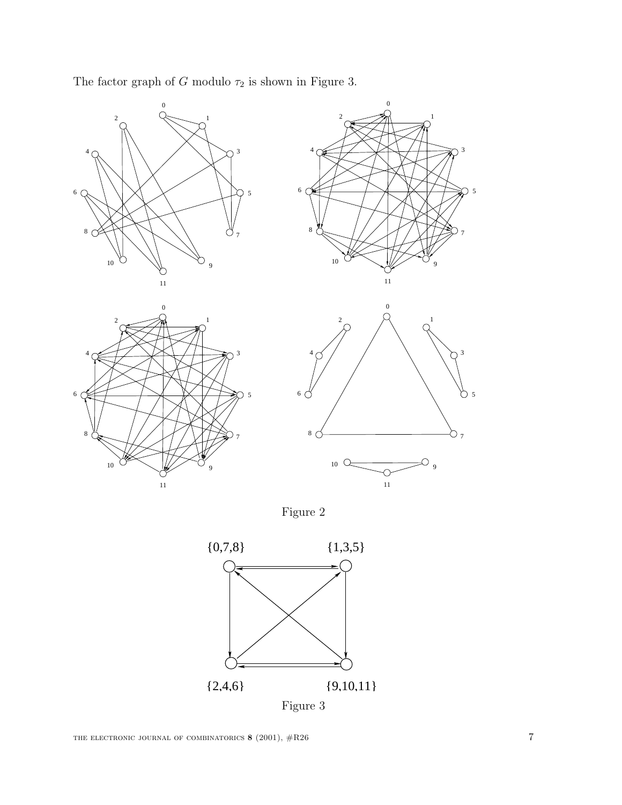

The factor graph of  $G$  modulo  $\tau_2$  is shown in Figure 3.

Figure 2

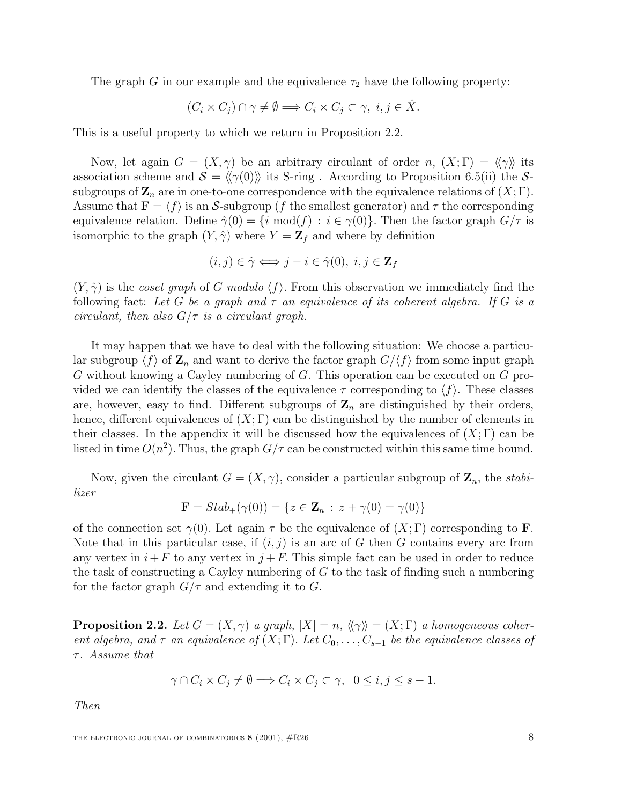The graph G in our example and the equivalence  $\tau_2$  have the following property:

$$
(C_i \times C_j) \cap \gamma \neq \emptyset \Longrightarrow C_i \times C_j \subset \gamma, \ i, j \in \hat{X}.
$$

This is a useful property to which we return in Proposition 2.2.

Now, let again  $G = (X, \gamma)$  be an arbitrary circulant of order n,  $(X; \Gamma) = \langle \gamma \rangle$  its association scheme and  $\mathcal{S} = \langle \langle \gamma(0) \rangle \rangle$  its S-ring . According to Proposition 6.5(ii) the Ssubgroups of  $\mathbf{Z}_n$  are in one-to-one correspondence with the equivalence relations of  $(X; \Gamma)$ . Assume that  $\mathbf{F} = \langle f \rangle$  is an S-subgroup (f the smallest generator) and  $\tau$  the corresponding equivalence relation. Define  $\hat{\gamma}(0) = \{i \text{ mod}(f) : i \in \gamma(0)\}\.$  Then the factor graph  $G/\tau$  is isomorphic to the graph  $(Y, \hat{\gamma})$  where  $Y = \mathbb{Z}_f$  and where by definition

$$
(i,j)\in\hat{\gamma}\Longleftrightarrow j-i\in\hat{\gamma}(0),\ i,j\in\mathbf{Z}_f
$$

 $(Y, \hat{\gamma})$  is the *coset graph* of G modulo  $\langle f \rangle$ . From this observation we immediately find the following fact: Let G be a graph and  $\tau$  an equivalence of its coherent algebra. If G is a circulant, then also  $G/\tau$  is a circulant graph.

It may happen that we have to deal with the following situation: We choose a particular subgroup  $\langle f \rangle$  of  $\mathbf{Z}_n$  and want to derive the factor graph  $G/\langle f \rangle$  from some input graph G without knowing a Cayley numbering of G. This operation can be executed on G provided we can identify the classes of the equivalence  $\tau$  corresponding to  $\langle f \rangle$ . These classes are, however, easy to find. Different subgroups of  $\mathbf{Z}_n$  are distinguished by their orders, hence, different equivalences of  $(X; \Gamma)$  can be distinguished by the number of elements in their classes. In the appendix it will be discussed how the equivalences of  $(X; \Gamma)$  can be listed in time  $O(n^2)$ . Thus, the graph  $G/\tau$  can be constructed within this same time bound.

Now, given the circulant  $G = (X, \gamma)$ , consider a particular subgroup of  $\mathbf{Z}_n$ , the *stabi*lizer

$$
\mathbf{F} = Stab_{+}(\gamma(0)) = \{ z \in \mathbf{Z}_n : z + \gamma(0) = \gamma(0) \}
$$

of the connection set  $\gamma(0)$ . Let again  $\tau$  be the equivalence of  $(X;\Gamma)$  corresponding to **F**. Note that in this particular case, if  $(i, j)$  is an arc of G then G contains every arc from any vertex in  $i+F$  to any vertex in  $j+F$ . This simple fact can be used in order to reduce the task of constructing a Cayley numbering of G to the task of finding such a numbering for the factor graph  $G/\tau$  and extending it to G.

**Proposition 2.2.** Let  $G = (X, \gamma)$  a graph,  $|X| = n$ ,  $\langle \langle \gamma \rangle \rangle = (X; \Gamma)$  a homogeneous coherent algebra, and  $\tau$  an equivalence of  $(X; \Gamma)$ . Let  $C_0, \ldots, C_{s-1}$  be the equivalence classes of  $\tau$ . Assume that

$$
\gamma \cap C_i \times C_j \neq \emptyset \Longrightarrow C_i \times C_j \subset \gamma, \ \ 0 \leq i, j \leq s - 1.
$$

Then

THE ELECTRONIC JOURNAL OF COMBINATORICS **8** (2001),  $\#R26$  8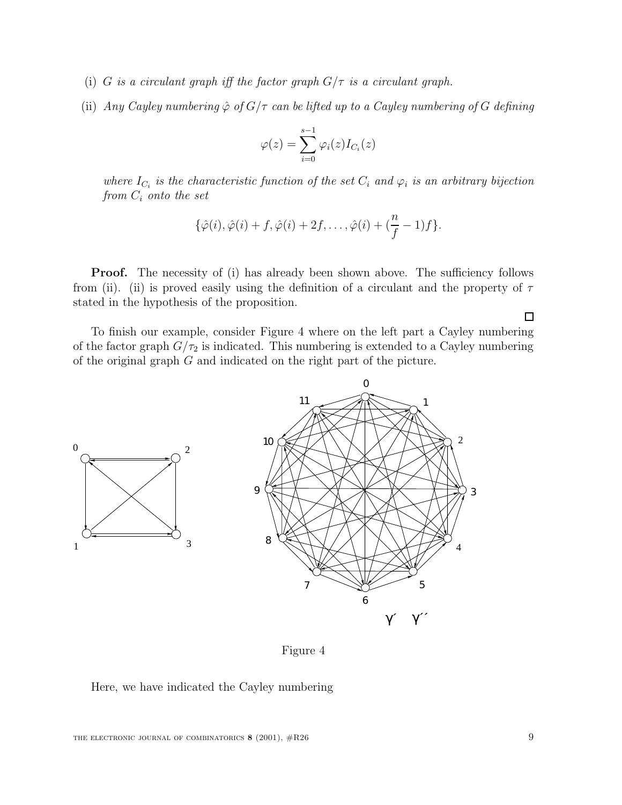- (i) G is a circulant graph iff the factor graph  $G/\tau$  is a circulant graph.
- (ii) Any Cayley numbering  $\hat{\varphi}$  of  $G/\tau$  can be lifted up to a Cayley numbering of G defining

$$
\varphi(z) = \sum_{i=0}^{s-1} \varphi_i(z) I_{C_i}(z)
$$

where  $I_{C_i}$  is the characteristic function of the set  $C_i$  and  $\varphi_i$  is an arbitrary bijection from  $C_i$  onto the set

$$
\{\hat{\varphi}(i),\hat{\varphi}(i)+f,\hat{\varphi}(i)+2f,\ldots,\hat{\varphi}(i)+(\frac{n}{f}-1)f\}.
$$

**Proof.** The necessity of (i) has already been shown above. The sufficiency follows from (ii). (ii) is proved easily using the definition of a circulant and the property of  $\tau$ stated in the hypothesis of the proposition.

To finish our example, consider Figure 4 where on the left part a Cayley numbering of the factor graph  $G/\tau_2$  is indicated. This numbering is extended to a Cayley numbering of the original graph G and indicated on the right part of the picture.



Figure 4

#### Here, we have indicated the Cayley numbering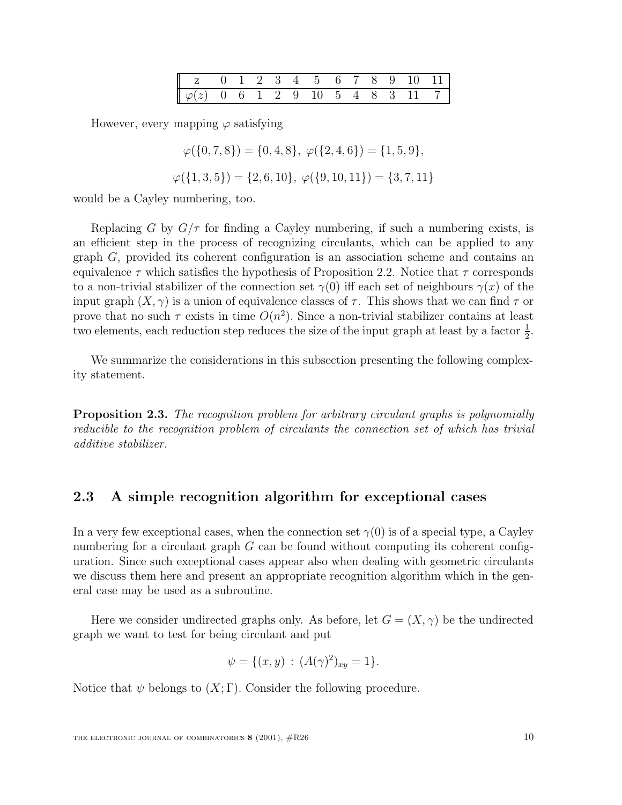| $\begin{bmatrix} 2 & 0 & 1 & 2 & 3 & 4 & 5 & 6 & 7 & 8 & 9 & 10 & 11 \end{bmatrix}$ |  |  |  |  |  |  |
|-------------------------------------------------------------------------------------|--|--|--|--|--|--|
| $\boxed{\varphi(z) = 0 = 6 - 1 = 2 = 9 = 10 = 5 = 4 = 8 = 3 = 11 = 7}$              |  |  |  |  |  |  |

However, every mapping  $\varphi$  satisfying

 $\varphi({0, 7, 8}) = {0, 4, 8}, \varphi({2, 4, 6}) = {1, 5, 9},$ 

 $\varphi({1, 3, 5}) = {2, 6, 10}, \varphi({9, 10, 11}) = {3, 7, 11}$ 

would be a Cayley numbering, too.

Replacing G by  $G/\tau$  for finding a Cayley numbering, if such a numbering exists, is an efficient step in the process of recognizing circulants, which can be applied to any graph G, provided its coherent configuration is an association scheme and contains an equivalence  $\tau$  which satisfies the hypothesis of Proposition 2.2. Notice that  $\tau$  corresponds to a non-trivial stabilizer of the connection set  $\gamma(0)$  iff each set of neighbours  $\gamma(x)$  of the input graph  $(X, \gamma)$  is a union of equivalence classes of  $\tau$ . This shows that we can find  $\tau$  or prove that no such  $\tau$  exists in time  $O(n^2)$ . Since a non-trivial stabilizer contains at least two elements, each reduction step reduces the size of the input graph at least by a factor  $\frac{1}{2}$ .

We summarize the considerations in this subsection presenting the following complexity statement.

**Proposition 2.3.** The recognition problem for arbitrary circulant graphs is polynomially reducible to the recognition problem of circulants the connection set of which has trivial additive stabilizer.

## **2.3 A simple recognition algorithm for exceptional cases**

In a very few exceptional cases, when the connection set  $\gamma(0)$  is of a special type, a Cayley numbering for a circulant graph  $G$  can be found without computing its coherent configuration. Since such exceptional cases appear also when dealing with geometric circulants we discuss them here and present an appropriate recognition algorithm which in the general case may be used as a subroutine.

Here we consider undirected graphs only. As before, let  $G = (X, \gamma)$  be the undirected graph we want to test for being circulant and put

$$
\psi = \{ (x, y) : (A(\gamma)^2)_{xy} = 1 \}.
$$

Notice that  $\psi$  belongs to  $(X;\Gamma)$ . Consider the following procedure.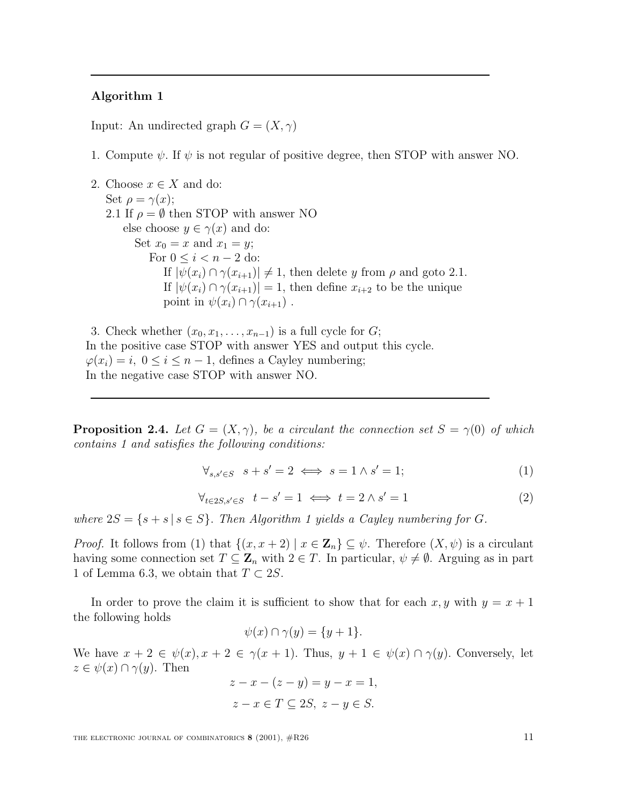#### **Algorithm 1**

Input: An undirected graph  $G = (X, \gamma)$ 

1. Compute  $\psi$ . If  $\psi$  is not regular of positive degree, then STOP with answer NO.

```
2. Choose x \in X and do:
   Set \rho = \gamma(x);2.1 If \rho = \emptyset then STOP with answer NO
       else choose y \in \gamma(x) and do:
          Set x_0 = x and x_1 = y;
              For 0 \leq i < n-2 do:
                 If |\psi(x_i) \cap \gamma(x_{i+1})| \neq 1, then delete y from \rho and goto 2.1.
                 If |\psi(x_i) \cap \gamma(x_{i+1})| = 1, then define x_{i+2} to be the unique
                 point in \psi(x_i) \cap \gamma(x_{i+1}).
```
3. Check whether  $(x_0, x_1, \ldots, x_{n-1})$  is a full cycle for  $G$ ; In the positive case STOP with answer YES and output this cycle.  $\varphi(x_i) = i, 0 \leq i \leq n-1$ , defines a Cayley numbering; In the negative case STOP with answer NO.

**Proposition 2.4.** Let  $G = (X, \gamma)$ , be a circulant the connection set  $S = \gamma(0)$  of which contains 1 and satisfies the following conditions:

$$
\forall_{s,s'\in S} \quad s+s'=2 \iff s=1 \land s'=1;
$$
 (1)

$$
\forall_{t \in 2S, s' \in S} \quad t - s' = 1 \iff t = 2 \land s' = 1 \tag{2}
$$

where  $2S = \{s + s \mid s \in S\}$ . Then Algorithm 1 yields a Cayley numbering for G.

*Proof.* It follows from (1) that  $\{(x, x + 2) | x \in \mathbb{Z}_n\} \subseteq \psi$ . Therefore  $(X, \psi)$  is a circulant having some connection set  $T \subseteq \mathbb{Z}_n$  with  $2 \in T$ . In particular,  $\psi \neq \emptyset$ . Arguing as in part 1 of Lemma 6.3, we obtain that  $T \subset 2S$ .

In order to prove the claim it is sufficient to show that for each x, y with  $y = x + 1$ the following holds

$$
\psi(x) \cap \gamma(y) = \{y+1\}.
$$

We have  $x + 2 \in \psi(x)$ ,  $x + 2 \in \gamma(x + 1)$ . Thus,  $y + 1 \in \psi(x) \cap \gamma(y)$ . Conversely, let  $z \in \psi(x) \cap \gamma(y)$ . Then

$$
z - x - (z - y) = y - x = 1,
$$
  

$$
z - x \in T \subseteq 2S, z - y \in S.
$$

THE ELECTRONIC JOURNAL OF COMBINATORICS **8** (2001),  $\#R26$  11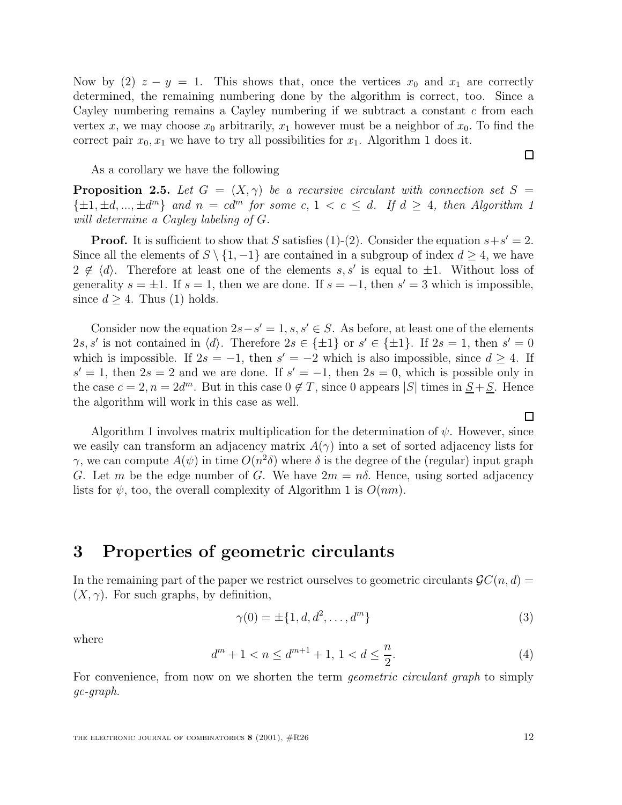Now by (2)  $z - y = 1$ . This shows that, once the vertices  $x_0$  and  $x_1$  are correctly determined, the remaining numbering done by the algorithm is correct, too. Since a Cayley numbering remains a Cayley numbering if we subtract a constant  $c$  from each vertex x, we may choose  $x_0$  arbitrarily,  $x_1$  however must be a neighbor of  $x_0$ . To find the correct pair  $x_0, x_1$  we have to try all possibilities for  $x_1$ . Algorithm 1 does it.

As a corollary we have the following

**Proposition 2.5.** Let  $G = (X, \gamma)$  be a recursive circulant with connection set  $S =$  $\{\pm 1, \pm d, ..., \pm d^m\}$  and  $n = cd^m$  for some  $c, 1 < c \le d$ . If  $d \ge 4$ , then Algorithm 1 will determine a Cayley labeling of G.

**Proof.** It is sufficient to show that S satisfies (1)-(2). Consider the equation  $s+s'=2$ . Since all the elements of  $S \setminus \{1, -1\}$  are contained in a subgroup of index  $d \geq 4$ , we have  $2 \notin \langle d \rangle$ . Therefore at least one of the elements s, s' is equal to  $\pm 1$ . Without loss of generality  $s = \pm 1$ . If  $s = 1$ , then we are done. If  $s = -1$ , then  $s' = 3$  which is impossible, since  $d \geq 4$ . Thus (1) holds.

Consider now the equation  $2s-s'=1$ ,  $s, s' \in S$ . As before, at least one of the elements 2s, s' is not contained in  $\langle d \rangle$ . Therefore  $2s \in \{\pm 1\}$  or  $s' \in \{\pm 1\}$ . If  $2s = 1$ , then  $s' = 0$ which is impossible. If  $2s = -1$ , then  $s' = -2$  which is also impossible, since  $d \geq 4$ . If  $s' = 1$ , then  $2s = 2$  and we are done. If  $s' = -1$ , then  $2s = 0$ , which is possible only in the case  $c = 2, n = 2d^m$ . But in this case  $0 \notin T$ , since 0 appears |S| times in  $S + S$ . Hence the algorithm will work in this case as well.

Algorithm 1 involves matrix multiplication for the determination of  $\psi$ . However, since we easily can transform an adjacency matrix  $A(\gamma)$  into a set of sorted adjacency lists for γ, we can compute  $A(ψ)$  in time  $O(n^2δ)$  where δ is the degree of the (regular) input graph G. Let m be the edge number of G. We have  $2m = n\delta$ . Hence, using sorted adjacency lists for  $\psi$ , too, the overall complexity of Algorithm 1 is  $O(nm)$ .

## **3 Properties of geometric circulants**

In the remaining part of the paper we restrict ourselves to geometric circulants  $\mathcal{G}C(n, d)$  $(X, \gamma)$ . For such graphs, by definition,

$$
\gamma(0) = \pm \{1, d, d^2, \dots, d^m\} \tag{3}
$$

where

$$
d^{m} + 1 < n \le d^{m+1} + 1, \ 1 < d \le \frac{n}{2}.\tag{4}
$$

For convenience, from now on we shorten the term *geometric circulant graph* to simply gc-graph.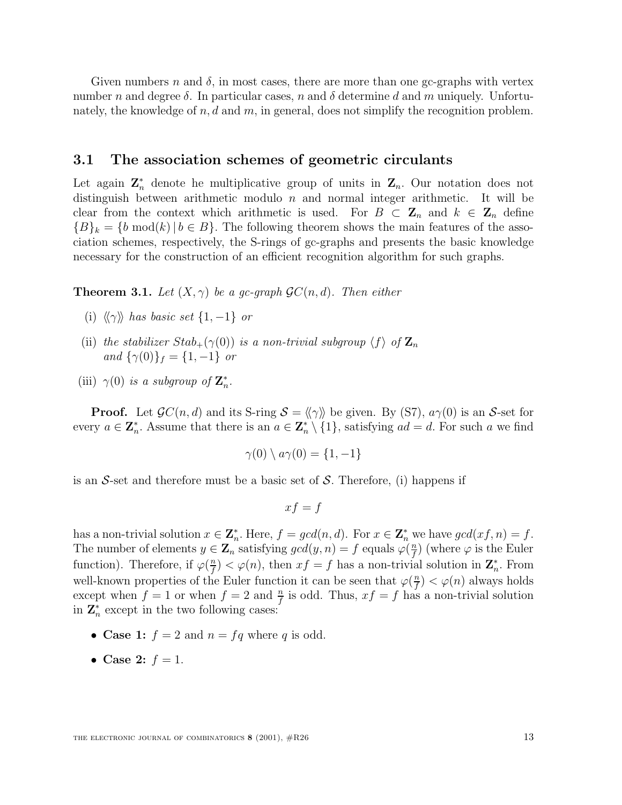Given numbers n and  $\delta$ , in most cases, there are more than one gc-graphs with vertex number n and degree  $\delta$ . In particular cases, n and  $\delta$  determine d and m uniquely. Unfortunately, the knowledge of  $n, d$  and  $m$ , in general, does not simplify the recognition problem.

## **3.1 The association schemes of geometric circulants**

Let again  $\mathbf{Z}_n^*$  denote he multiplicative group of units in  $\mathbf{Z}_n$ . Our notation does not distinguish between arithmetic modulo  $n$  and normal integer arithmetic. It will be clear from the context which arithmetic is used. For  $B \subset \mathbb{Z}_n$  and  $k \in \mathbb{Z}_n$  define  ${B}_k = {b \text{ mod}(k) | b \in B}.$  The following theorem shows the main features of the association schemes, respectively, the S-rings of gc-graphs and presents the basic knowledge necessary for the construction of an efficient recognition algorithm for such graphs.

**Theorem 3.1.** Let  $(X, \gamma)$  be a gc-graph  $\mathcal{G}C(n, d)$ . Then either

- (i)  $\langle \langle \gamma \rangle \rangle$  has basic set  $\{1, -1\}$  or
- (ii) the stabilizer  $Stab_{+}(\gamma(0))$  is a non-trivial subgroup  $\langle f \rangle$  of  $\mathbf{Z}_n$ and  $\{\gamma(0)\}_{f} = \{1, -1\}$  or
- (iii)  $\gamma(0)$  *is a subgroup of*  $\mathbf{Z}_n^*$ .

**Proof.** Let  $\mathcal{G}C(n, d)$  and its S-ring  $\mathcal{S} = \langle \langle \gamma \rangle \rangle$  be given. By (S7),  $a\gamma(0)$  is an S-set for every  $a \in \mathbb{Z}_n^*$ . Assume that there is an  $a \in \mathbb{Z}_n^* \setminus \{1\}$ , satisfying  $ad = d$ . For such a we find

$$
\gamma(0) \setminus a\gamma(0) = \{1, -1\}
$$

is an  $S$ -set and therefore must be a basic set of  $S$ . Therefore, (i) happens if

$$
xf = f
$$

has a non-trivial solution  $x \in \mathbb{Z}_n^*$ . Here,  $f = \gcd(n, d)$ . For  $x \in \mathbb{Z}_n^*$  we have  $\gcd(x f, n) = f$ . The number of elements  $y \in \mathbf{Z}_n$  satisfying  $gcd(y, n) = f$  equals  $\varphi(\frac{n}{f})$  (where  $\varphi$  is the Euler function). Therefore, if  $\varphi(\frac{n}{f}) < \varphi(n)$ , then  $xf = f$  has a non-trivial solution in  $\mathbb{Z}_n^*$ . From well-known properties of the Euler function it can be seen that  $\varphi(\frac{n}{f}) < \varphi(n)$  always holds except when  $f = 1$  or when  $f = 2$  and  $\frac{n}{f}$  is odd. Thus,  $xf = f$  has a non-trivial solution in  $\mathbf{Z}_n^*$  except in the two following cases:

- **Case 1:**  $f = 2$  and  $n = fq$  where q is odd.
- **Case 2:**  $f = 1$ .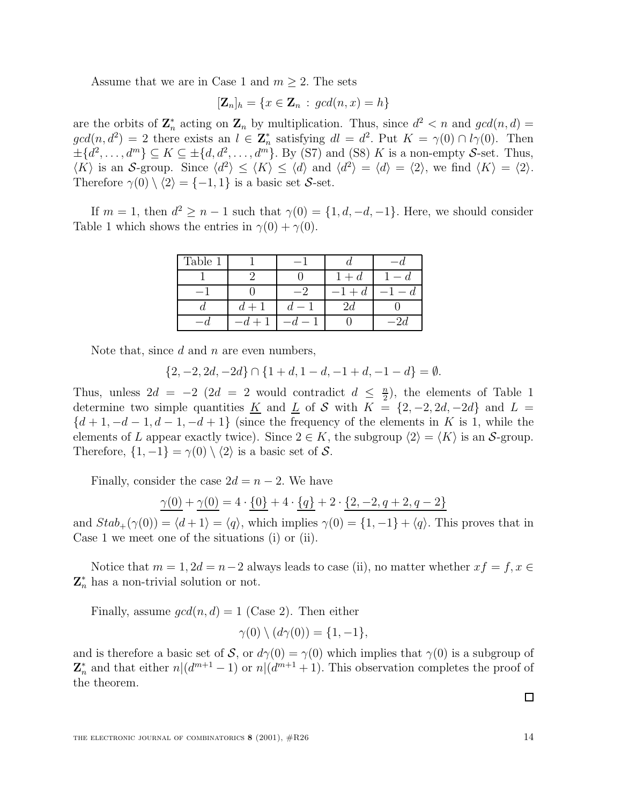Assume that we are in Case 1 and  $m \geq 2$ . The sets

$$
[\mathbf{Z}_n]_h = \{x \in \mathbf{Z}_n : \gcd(n, x) = h\}
$$

are the orbits of  $\mathbb{Z}_n^*$  acting on  $\mathbb{Z}_n$  by multiplication. Thus, since  $d^2 < n$  and  $gcd(n, d) =$  $gcd(n, d^2) = 2$  there exists an  $l \in \mathbb{Z}_n^*$  satisfying  $dl = d^2$ . Put  $K = \gamma(0) \cap l\gamma(0)$ . Then  $\pm \{d^2,\ldots,d^m\} \subseteq K \subseteq \pm \{d,d^2,\ldots,d^m\}.$  By (S7) and (S8) K is a non-empty S-set. Thus,  $\langle K \rangle$  is an S-group. Since  $\langle d^2 \rangle \leq \langle K \rangle \leq \langle d \rangle$  and  $\langle d^2 \rangle = \langle d \rangle = \langle 2 \rangle$ , we find  $\langle K \rangle = \langle 2 \rangle$ . Therefore  $\gamma(0) \setminus \langle 2 \rangle = \{-1, 1\}$  is a basic set S-set.

If  $m = 1$ , then  $d^2 \ge n - 1$  such that  $\gamma(0) = \{1, d, -d, -1\}$ . Here, we should consider Table 1 which shows the entries in  $\gamma(0) + \gamma(0)$ .

| Table 1 |       |       |  |
|---------|-------|-------|--|
|         |       | $+ d$ |  |
|         |       |       |  |
|         | $d +$ | 2d    |  |
|         |       |       |  |

Note that, since  $d$  and  $n$  are even numbers,

$$
\{2, -2, 2d, -2d\} \cap \{1+d, 1-d, -1+d, -1-d\} = \emptyset.
$$

Thus, unless  $2d = -2$  ( $2d = 2$  would contradict  $d \leq \frac{n}{2}$ ), the elements of Table 1 determine two simple quantities K and L of S with  $K = \{2, -2, 2d, -2d\}$  and L  $=$ determine two simple quantities <u>K</u> and <u>L</u> of S with  $K = \{2, -2, 2d, -2d\}$  and L =  ${d+1, -d-1, d-1, -d+1}$  (since the frequency of the elements in K is 1, while the elements of L appear exactly twice). Since  $2 \in K$ , the subgroup  $\langle 2 \rangle = \langle K \rangle$  is an S-group. Therefore,  $\{1, -1\} = \gamma(0) \setminus \langle 2 \rangle$  is a basic set of S.

Finally, consider the case  $2d = n - 2$ . We have

$$
\underline{\gamma(0)} + \underline{\gamma(0)} = 4 \cdot \underline{\{0\}} + 4 \cdot \underline{\{q\}} + 2 \cdot \underline{\{2, -2, q+2, q-2\}}
$$

and  $Stab_+(\gamma(0)) = \langle d + 1 \rangle = \langle q \rangle$ , which implies  $\gamma(0) = \{1, -1\} + \langle q \rangle$ . This proves that in Case 1 we meet one of the situations (i) or (ii).

Notice that  $m = 1, 2d = n-2$  always leads to case (ii), no matter whether  $xf = f, x \in$  $\mathbf{Z}_n^*$  has a non-trivial solution or not.

Finally, assume  $gcd(n, d) = 1$  (Case 2). Then either

$$
\gamma(0) \setminus (d\gamma(0)) = \{1, -1\},\
$$

and is therefore a basic set of S, or  $d\gamma(0) = \gamma(0)$  which implies that  $\gamma(0)$  is a subgroup of  $\mathbf{Z}_n^*$  and that either  $n|(d^{m+1}-1)$  or  $n|(d^{m+1}+1)$ . This observation completes the proof of the theorem.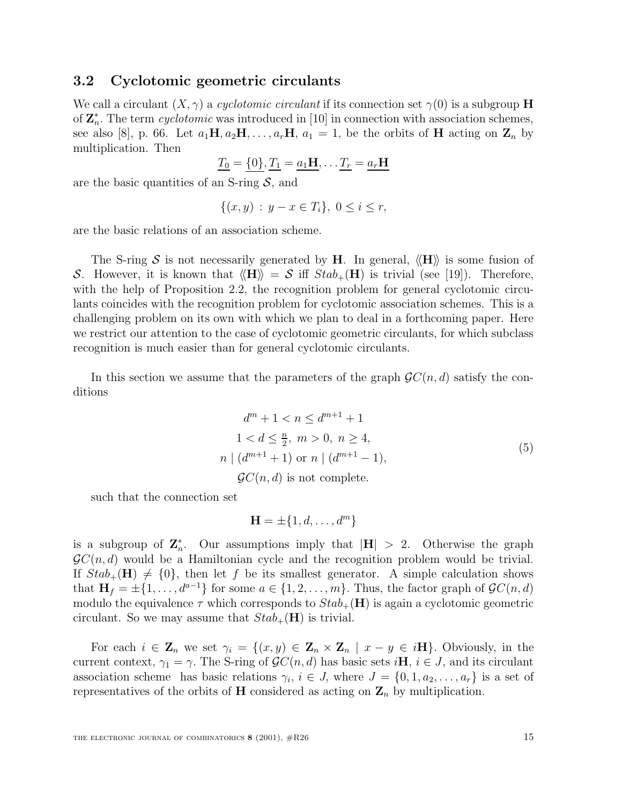#### **3.2 Cyclotomic geometric circulants**

We call a circulant  $(X, \gamma)$  a *cyclotomic circulant* if its connection set  $\gamma(0)$  is a subgroup **H** of  $\mathbf{Z}_{n}^{*}$ . The term *cyclotomic* was introduced in [10] in connection with association schemes, see also [8], p. 66. Let  $a_1\mathbf{H}, a_2\mathbf{H}, \ldots, a_r\mathbf{H}, a_1 = 1$ , be the orbits of **H** acting on  $\mathbf{Z}_n$  by multiplication. Then

$$
\underline{T_0} = \{0\}, \underline{T_1} = \underline{a_1 \mathbf{H}}, \dots \underline{T_r} = \underline{a_r \mathbf{H}}
$$

are the basic quantities of an S-ring  $S$ , and

$$
\{(x, y) : y - x \in T_i\}, \ 0 \le i \le r,
$$

are the basic relations of an association scheme.

The S-ring S is not necessarily generated by **H**. In general,  $\langle \mathbf{H} \rangle$  is some fusion of S. However, it is known that  $\langle \mathbf{H} \rangle = S$  iff  $Stab_{+}(\mathbf{H})$  is trivial (see [19]). Therefore, with the help of Proposition 2.2, the recognition problem for general cyclotomic circulants coincides with the recognition problem for cyclotomic association schemes. This is a challenging problem on its own with which we plan to deal in a forthcoming paper. Here we restrict our attention to the case of cyclotomic geometric circulants, for which subclass recognition is much easier than for general cyclotomic circulants.

In this section we assume that the parameters of the graph  $\mathcal{G}C(n, d)$  satisfy the conditions

$$
d^{m} + 1 < n \leq d^{m+1} + 1
$$
\n
$$
1 < d \leq \frac{n}{2}, \ m > 0, \ n \geq 4,
$$
\n
$$
n \mid (d^{m+1} + 1) \text{ or } n \mid (d^{m+1} - 1),
$$
\n
$$
\mathcal{G}C(n, d) \text{ is not complete.}
$$
\n
$$
(5)
$$

such that the connection set

$$
\mathbf{H} = \pm \{1, d, \dots, d^m\}
$$

is a subgroup of  $\mathbb{Z}_n^*$ . Our assumptions imply that  $|\mathbf{H}| > 2$ . Otherwise the graph  $\mathcal{G}C(n, d)$  would be a Hamiltonian cycle and the recognition problem would be trivial. If  $Stab_{+}(\mathbf{H}) \neq \{0\}$ , then let f be its smallest generator. A simple calculation shows that  $\mathbf{H}_f = \pm \{1, \ldots, d^{a-1}\}\$ for some  $a \in \{1, 2, \ldots, m\}$ . Thus, the factor graph of  $\mathcal{G}C(n, d)$ modulo the equivalence  $\tau$  which corresponds to  $Stab_{+}(\mathbf{H})$  is again a cyclotomic geometric circulant. So we may assume that  $Stab_{+}(\mathbf{H})$  is trivial.

For each  $i \in \mathbf{Z}_n$  we set  $\gamma_i = \{(x, y) \in \mathbf{Z}_n \times \mathbf{Z}_n \mid x - y \in i\mathbf{H}\}\)$ . Obviously, in the current context,  $\gamma_1 = \gamma$ . The S-ring of  $\mathcal{G}C(n, d)$  has basic sets  $i\mathbf{H}$ ,  $i \in J$ , and its circulant association scheme has basic relations  $\gamma_i$ ,  $i \in J$ , where  $J = \{0, 1, a_2, \ldots, a_r\}$  is a set of representatives of the orbits of **H** considered as acting on  $\mathbf{Z}_n$  by multiplication.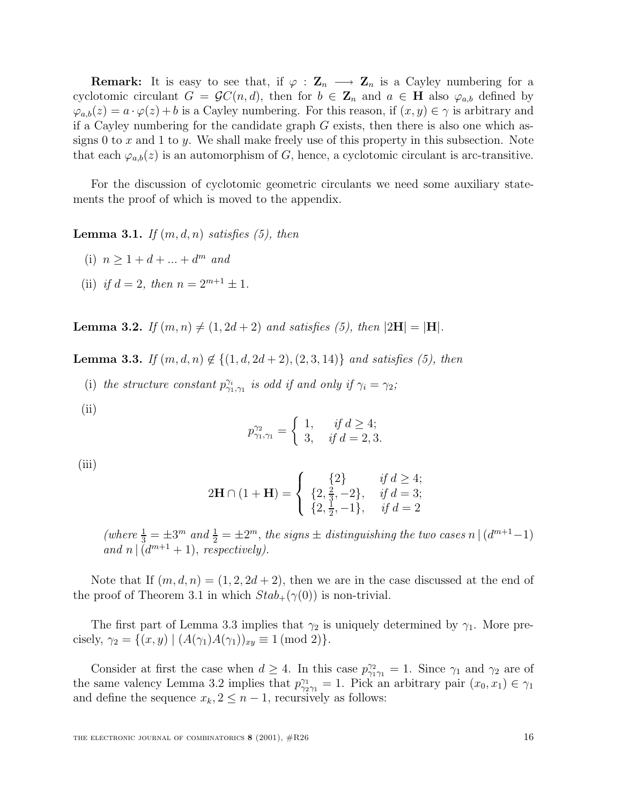**Remark:** It is easy to see that, if  $\varphi : \mathbf{Z}_n \longrightarrow \mathbf{Z}_n$  is a Cayley numbering for a cyclotomic circulant  $G = \mathcal{G}C(n, d)$ , then for  $b \in \mathbb{Z}_n$  and  $a \in \mathbb{H}$  also  $\varphi_{a,b}$  defined by  $\varphi_{a,b}(z) = a \cdot \varphi(z) + b$  is a Cayley numbering. For this reason, if  $(x, y) \in \gamma$  is arbitrary and if a Cayley numbering for the candidate graph  $G$  exists, then there is also one which assigns 0 to  $x$  and 1 to  $y$ . We shall make freely use of this property in this subsection. Note that each  $\varphi_{a,b}(z)$  is an automorphism of G, hence, a cyclotomic circulant is arc-transitive.

For the discussion of cyclotomic geometric circulants we need some auxiliary statements the proof of which is moved to the appendix.

**Lemma 3.1.** If  $(m, d, n)$  satisfies  $(5)$ , then

- (i)  $n > 1 + d + ... + d^m$  and
- (ii) if  $d = 2$ , then  $n = 2^{m+1} \pm 1$ .

**Lemma 3.2.** If  $(m, n) \neq (1, 2d + 2)$  and satisfies (5), then  $|2H| = |H|$ .

**Lemma 3.3.** If  $(m, d, n) \notin \{(1, d, 2d + 2), (2, 3, 14)\}$  and satisfies (5), then

- (i) the structure constant  $p_{\gamma_1,\gamma_1}^{\gamma_i}$  is odd if and only if  $\gamma_i = \gamma_2$ ;
- (ii)

$$
p_{\gamma_1,\gamma_1}^{\gamma_2} = \begin{cases} 1, & \text{if } d \ge 4; \\ 3, & \text{if } d = 2,3. \end{cases}
$$

(iii)

$$
2\mathbf{H} \cap (1 + \mathbf{H}) = \begin{cases} \{2\} & \text{if } d \ge 4; \\ \{2, \frac{2}{3}, -2\}, & \text{if } d = 3; \\ \{2, \frac{1}{2}, -1\}, & \text{if } d = 2 \end{cases}
$$

(where  $\frac{1}{3} = \pm 3^m$  and  $\frac{1}{2} = \pm 2^m$ , the signs  $\pm$  distinguishing the two cases n  $\vert (d^{m+1}-1) \vert$ <br>and n  $\vert (d^{m+1}+1) \vert$  respectively) and n  $\left( d^{m+1} + 1 \right)$ , respectively).

Note that If  $(m, d, n) = (1, 2, 2d + 2)$ , then we are in the case discussed at the end of the proof of Theorem 3.1 in which  $Stab_{+}(\gamma(0))$  is non-trivial.

The first part of Lemma 3.3 implies that  $\gamma_2$  is uniquely determined by  $\gamma_1$ . More precisely,  $\gamma_2 = \{(x, y) \mid (A(\gamma_1)A(\gamma_1))_{xy} \equiv 1 \pmod{2}\}.$ 

Consider at first the case when  $d \geq 4$ . In this case  $p_{\gamma_1}^{\gamma_2} = 1$ . Since  $\gamma_1$  and  $\gamma_2$  are of the same valency Lemma 3.2 implies that  $p_{\gamma_2}^{\gamma_1} = 1$ . Pick an arbitrary pair  $(x_0, x_1) \in \gamma_1$ and define the sequence  $x_k, 2 \leq n-1$ , recursively as follows: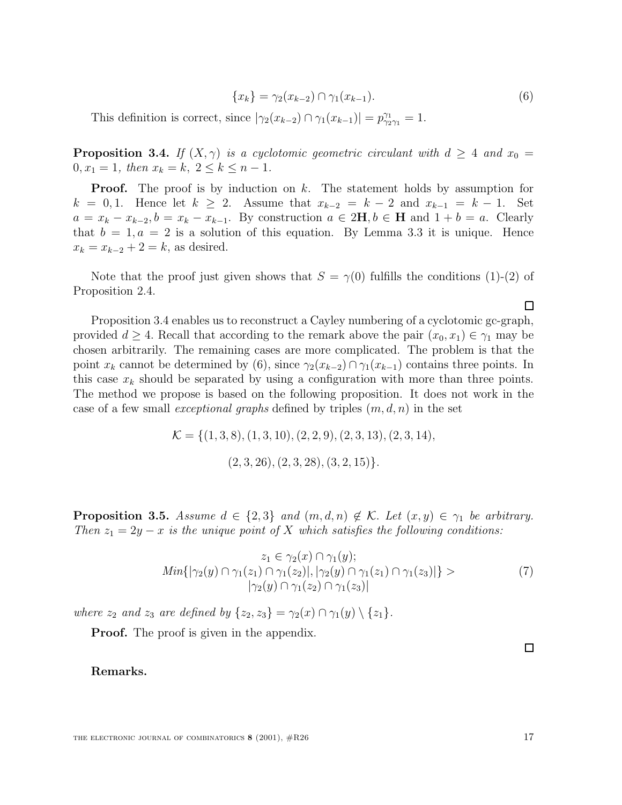$$
\{x_k\} = \gamma_2(x_{k-2}) \cap \gamma_1(x_{k-1}).
$$
\n(6)

This definition is correct, since  $|\gamma_2(x_{k-2}) \cap \gamma_1(x_{k-1})| = p_{\gamma_2\gamma_1}^{\gamma_1} = 1.$ 

**Proposition 3.4.** If  $(X, \gamma)$  is a cyclotomic geometric circulant with  $d \geq 4$  and  $x_0 =$  $0, x_1 = 1$ , then  $x_k = k$ ,  $2 \le k \le n - 1$ .

**Proof.** The proof is by induction on k. The statement holds by assumption for  $k = 0, 1$ . Hence let  $k \geq 2$ . Assume that  $x_{k-2} = k - 2$  and  $x_{k-1} = k - 1$ . Set  $a = x_k - x_{k-2}, b = x_k - x_{k-1}$ . By construction  $a \in 2\mathbf{H}, b \in \mathbf{H}$  and  $1 + b = a$ . Clearly that  $b = 1, a = 2$  is a solution of this equation. By Lemma 3.3 it is unique. Hence  $x_k = x_{k-2} + 2 = k$ , as desired.

Note that the proof just given shows that  $S = \gamma(0)$  fulfills the conditions (1)-(2) of Proposition 2.4.

Proposition 3.4 enables us to reconstruct a Cayley numbering of a cyclotomic gc-graph, provided  $d \geq 4$ . Recall that according to the remark above the pair  $(x_0, x_1) \in \gamma_1$  may be chosen arbitrarily. The remaining cases are more complicated. The problem is that the point  $x_k$  cannot be determined by (6), since  $\gamma_2(x_{k-2}) \cap \gamma_1(x_{k-1})$  contains three points. In this case  $x_k$  should be separated by using a configuration with more than three points. The method we propose is based on the following proposition. It does not work in the case of a few small *exceptional graphs* defined by triples  $(m, d, n)$  in the set

$$
\mathcal{K} = \{ (1,3,8), (1,3,10), (2,2,9), (2,3,13), (2,3,14),
$$
  

$$
(2,3,26), (2,3,28), (3,2,15) \}.
$$

**Proposition 3.5.** Assume  $d \in \{2,3\}$  and  $(m,d,n) \notin \mathcal{K}$ . Let  $(x,y) \in \gamma_1$  be arbitrary. Then  $z_1 = 2y - x$  is the unique point of X which satisfies the following conditions:

$$
z_1 \in \gamma_2(x) \cap \gamma_1(y);
$$
  
\n
$$
Min\{|\gamma_2(y) \cap \gamma_1(z_1) \cap \gamma_1(z_2)|, |\gamma_2(y) \cap \gamma_1(z_1) \cap \gamma_1(z_3)|\} >
$$
  
\n
$$
|\gamma_2(y) \cap \gamma_1(z_2) \cap \gamma_1(z_3)|
$$
\n(7)

where  $z_2$  and  $z_3$  are defined by  $\{z_2, z_3\} = \gamma_2(x) \cap \gamma_1(y) \setminus \{z_1\}.$ 

**Proof.** The proof is given in the appendix.

**Remarks.**

 $\Box$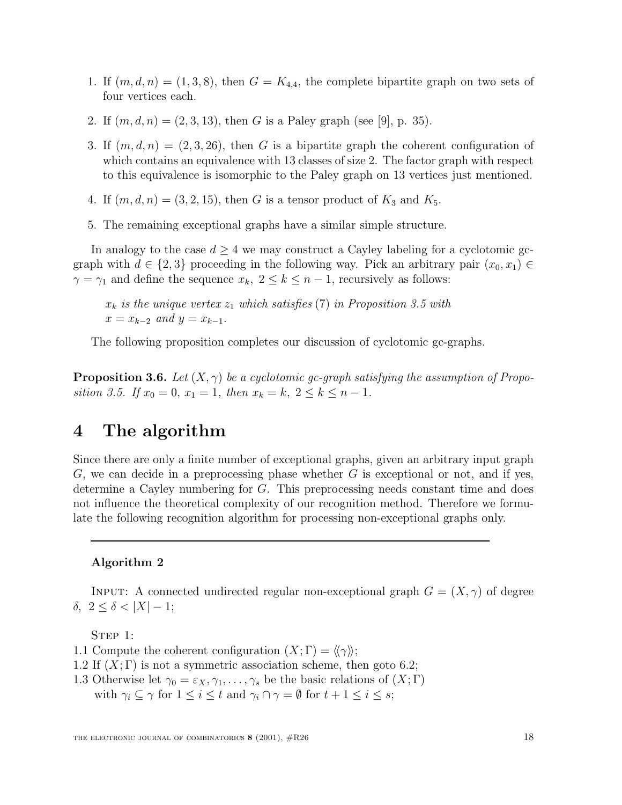- 1. If  $(m, d, n) = (1, 3, 8)$ , then  $G = K_{4,4}$ , the complete bipartite graph on two sets of four vertices each.
- 2. If  $(m, d, n) = (2, 3, 13)$ , then G is a Paley graph (see [9], p. 35).
- 3. If  $(m, d, n) = (2, 3, 26)$ , then G is a bipartite graph the coherent configuration of which contains an equivalence with 13 classes of size 2. The factor graph with respect to this equivalence is isomorphic to the Paley graph on 13 vertices just mentioned.
- 4. If  $(m, d, n) = (3, 2, 15)$ , then G is a tensor product of  $K_3$  and  $K_5$ .
- 5. The remaining exceptional graphs have a similar simple structure.

In analogy to the case  $d \geq 4$  we may construct a Cayley labeling for a cyclotomic gcgraph with  $d \in \{2,3\}$  proceeding in the following way. Pick an arbitrary pair  $(x_0, x_1) \in$  $\gamma = \gamma_1$  and define the sequence  $x_k$ ,  $2 \le k \le n-1$ , recursively as follows:

 $x_k$  is the unique vertex  $z_1$  which satisfies (7) in Proposition 3.5 with  $x = x_{k-2}$  and  $y = x_{k-1}$ .

The following proposition completes our discussion of cyclotomic gc-graphs.

**Proposition 3.6.** Let  $(X, \gamma)$  be a cyclotomic gc-graph satisfying the assumption of Proposition 3.5. If  $x_0 = 0$ ,  $x_1 = 1$ , then  $x_k = k$ ,  $2 \le k \le n - 1$ .

## **4 The algorithm**

Since there are only a finite number of exceptional graphs, given an arbitrary input graph  $G$ , we can decide in a preprocessing phase whether  $G$  is exceptional or not, and if yes, determine a Cayley numbering for G. This preprocessing needs constant time and does not influence the theoretical complexity of our recognition method. Therefore we formulate the following recognition algorithm for processing non-exceptional graphs only.

#### **Algorithm 2**

INPUT: A connected undirected regular non-exceptional graph  $G = (X, \gamma)$  of degree δ, 2 ≤ δ < |X| − 1;

STEP 1:

1.1 Compute the coherent configuration  $(X; \Gamma) = \langle \langle \gamma \rangle \rangle;$ 

- 1.2 If  $(X; \Gamma)$  is not a symmetric association scheme, then goto 6.2;
- 1.3 Otherwise let  $\gamma_0 = \varepsilon_X, \gamma_1, \ldots, \gamma_s$  be the basic relations of  $(X; \Gamma)$ with  $\gamma_i \subseteq \gamma$  for  $1 \leq i \leq t$  and  $\gamma_i \cap \gamma = \emptyset$  for  $t + 1 \leq i \leq s$ ;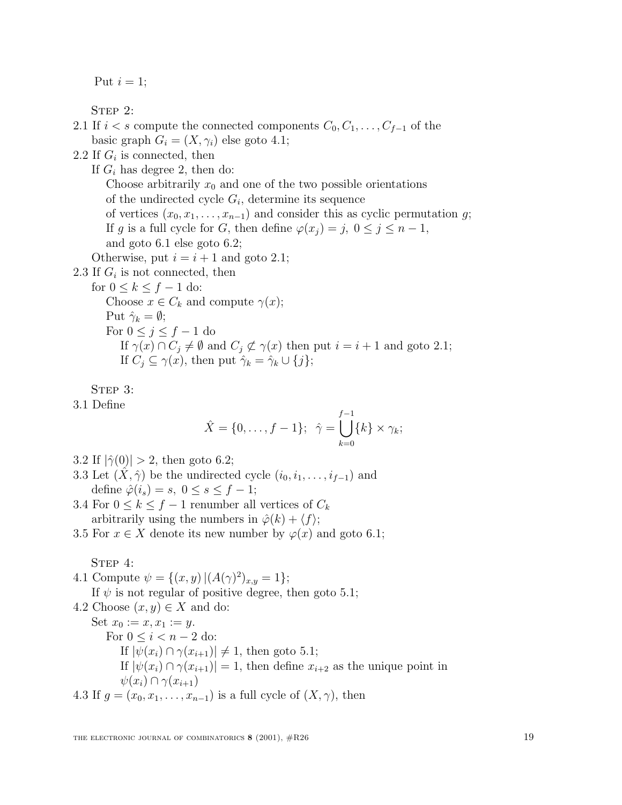Put  $i = 1$ ;

STEP 2:

2.1 If  $i < s$  compute the connected components  $C_0, C_1, \ldots, C_{f-1}$  of the basic graph  $G_i = (X, \gamma_i)$  else goto 4.1;

2.2 If  $G_i$  is connected, then

If  $G_i$  has degree 2, then do: Choose arbitrarily  $x_0$  and one of the two possible orientations of the undirected cycle  $G_i$ , determine its sequence of vertices  $(x_0, x_1, \ldots, x_{n-1})$  and consider this as cyclic permutation g; If g is a full cycle for G, then define  $\varphi(x_i) = j, 0 \leq j \leq n-1$ , and goto 6.1 else goto 6.2; Otherwise, put  $i = i + 1$  and goto 2.1;

2.3 If  $G_i$  is not connected, then

for  $0 \leq k \leq f-1$  do:

Choose  $x \in C_k$  and compute  $\gamma(x)$ ; Put  $\hat{\gamma}_k = \emptyset$ ; For  $0 \leq j \leq f-1$  do If  $\gamma(x) \cap C_i \neq \emptyset$  and  $C_i \not\subset \gamma(x)$  then put  $i = i + 1$  and goto 2.1; If  $C_i \subseteq \gamma(x)$ , then put  $\hat{\gamma}_k = \hat{\gamma}_k \cup \{j\};$ 

STEP 3:

3.1 Define

$$
\hat{X} = \{0, ..., f - 1\}; \ \hat{\gamma} = \bigcup_{k=0}^{f-1} \{k\} \times \gamma_k;
$$

- 3.2 If  $|\hat{\gamma}(0)| > 2$ , then goto 6.2;
- 3.3 Let  $(\hat{X}, \hat{\gamma})$  be the undirected cycle  $(i_0, i_1, \ldots, i_{f-1})$  and define  $\hat{\varphi}(i_s) = s, 0 \leq s \leq f - 1;$
- 3.4 For  $0 \leq k \leq f-1$  renumber all vertices of  $C_k$ arbitrarily using the numbers in  $\hat{\varphi}(k) + \langle f \rangle;$
- 3.5 For  $x \in X$  denote its new number by  $\varphi(x)$  and goto 6.1;

STEP 4:

4.1 Compute  $\psi = \{(x, y) | (A(\gamma)^2)_{x,y} = 1\};$ If  $\psi$  is not regular of positive degree, then goto 5.1;

4.2 Choose  $(x, y) \in X$  and do: Set  $x_0 := x, x_1 := y$ . For  $0 \leq i < n-2$  do: If  $|\psi(x_i) \cap \gamma(x_{i+1})| \neq 1$ , then goto 5.1; If  $|\psi(x_i) \cap \gamma(x_{i+1})| = 1$ , then define  $x_{i+2}$  as the unique point in  $\psi(x_i) \cap \gamma(x_{i+1})$ 4.3 If  $g = (x_0, x_1, \ldots, x_{n-1})$  is a full cycle of  $(X, \gamma)$ , then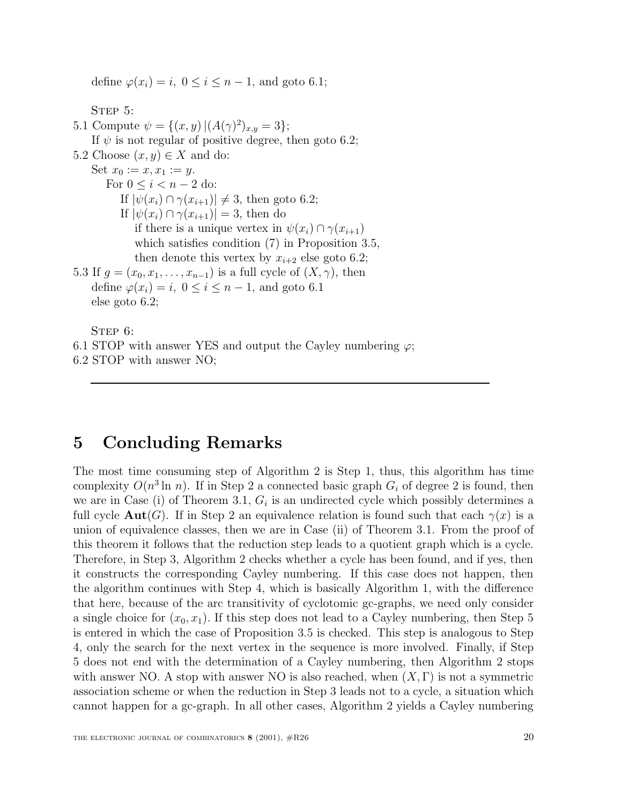define  $\varphi(x_i) = i, 0 \leq i \leq n-1$ , and goto 6.1;

STEP 5:

5.1 Compute  $\psi = \{(x, y) | (A(\gamma)^2)_{x,y} = 3\};$ If  $\psi$  is not regular of positive degree, then goto 6.2; 5.2 Choose  $(x, y) \in X$  and do: Set  $x_0 := x, x_1 := y$ . For  $0 \leq i < n-2$  do: If  $|\psi(x_i) \cap \gamma(x_{i+1})| \neq 3$ , then goto 6.2; If  $|\psi(x_i) \cap \gamma(x_{i+1})| = 3$ , then do if there is a unique vertex in  $\psi(x_i) \cap \gamma(x_{i+1})$ which satisfies condition (7) in Proposition 3.5, then denote this vertex by  $x_{i+2}$  else goto 6.2; 5.3 If  $g = (x_0, x_1, \ldots, x_{n-1})$  is a full cycle of  $(X, \gamma)$ , then define  $\varphi(x_i) = i, 0 \leq i \leq n-1$ , and goto 6.1 else goto 6.2; STEP 6:

6.1 STOP with answer YES and output the Cayley numbering  $\varphi$ ;

6.2 STOP with answer NO;

# **5 Concluding Remarks**

The most time consuming step of Algorithm 2 is Step 1, thus, this algorithm has time complexity  $O(n^3 \ln n)$ . If in Step 2 a connected basic graph  $G_i$  of degree 2 is found, then we are in Case (i) of Theorem 3.1,  $G_i$  is an undirected cycle which possibly determines a full cycle  $\text{Aut}(G)$ . If in Step 2 an equivalence relation is found such that each  $\gamma(x)$  is a union of equivalence classes, then we are in Case (ii) of Theorem 3.1. From the proof of this theorem it follows that the reduction step leads to a quotient graph which is a cycle. Therefore, in Step 3, Algorithm 2 checks whether a cycle has been found, and if yes, then it constructs the corresponding Cayley numbering. If this case does not happen, then the algorithm continues with Step 4, which is basically Algorithm 1, with the difference that here, because of the arc transitivity of cyclotomic gc-graphs, we need only consider a single choice for  $(x_0, x_1)$ . If this step does not lead to a Cayley numbering, then Step 5 is entered in which the case of Proposition 3.5 is checked. This step is analogous to Step 4, only the search for the next vertex in the sequence is more involved. Finally, if Step 5 does not end with the determination of a Cayley numbering, then Algorithm 2 stops with answer NO. A stop with answer NO is also reached, when  $(X, \Gamma)$  is not a symmetric association scheme or when the reduction in Step 3 leads not to a cycle, a situation which cannot happen for a gc-graph. In all other cases, Algorithm 2 yields a Cayley numbering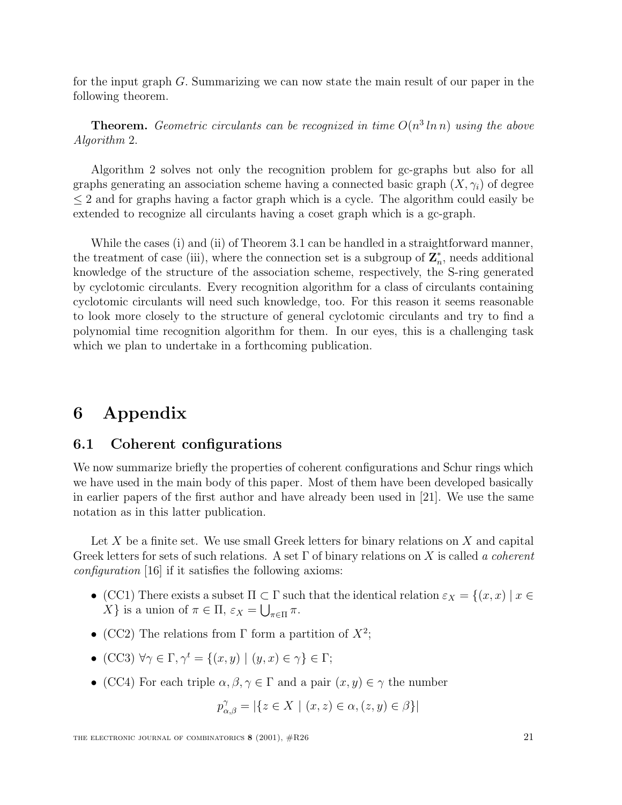for the input graph G. Summarizing we can now state the main result of our paper in the following theorem.

**Theorem.** Geometric circulants can be recognized in time  $O(n^3 \ln n)$  using the above Algorithm 2.

Algorithm 2 solves not only the recognition problem for gc-graphs but also for all graphs generating an association scheme having a connected basic graph  $(X, \gamma_i)$  of degree  $\leq$  2 and for graphs having a factor graph which is a cycle. The algorithm could easily be extended to recognize all circulants having a coset graph which is a gc-graph.

While the cases (i) and (ii) of Theorem 3.1 can be handled in a straightforward manner, the treatment of case (iii), where the connection set is a subgroup of  $\mathbb{Z}_n^*$ , needs additional knowledge of the structure of the association scheme, respectively, the S-ring generated by cyclotomic circulants. Every recognition algorithm for a class of circulants containing cyclotomic circulants will need such knowledge, too. For this reason it seems reasonable to look more closely to the structure of general cyclotomic circulants and try to find a polynomial time recognition algorithm for them. In our eyes, this is a challenging task which we plan to undertake in a forthcoming publication.

## **6 Appendix**

#### **6.1 Coherent configurations**

We now summarize briefly the properties of coherent configurations and Schur rings which we have used in the main body of this paper. Most of them have been developed basically in earlier papers of the first author and have already been used in [21]. We use the same notation as in this latter publication.

Let X be a finite set. We use small Greek letters for binary relations on X and capital Greek letters for sets of such relations. A set  $\Gamma$  of binary relations on X is called a coherent configuration [16] if it satisfies the following axioms:

- (CC1) There exists a subset  $\Pi \subset \Gamma$  such that the identical relation  $\varepsilon_X = \{(x, x) \mid x \in \Gamma\}$ X } is a union of  $\pi \in \Pi$ ,  $\varepsilon_X = \bigcup_{\pi \in \Pi} \pi$ .
- (CC2) The relations from  $\Gamma$  form a partition of  $X^2$ ;
- (CC3)  $\forall \gamma \in \Gamma, \gamma^t = \{(x, y) \mid (y, x) \in \gamma\} \in \Gamma;$
- (CC4) For each triple  $\alpha, \beta, \gamma \in \Gamma$  and a pair  $(x, y) \in \gamma$  the number

$$
p_{\alpha,\beta}^{\gamma} = |\{z \in X \mid (x,z) \in \alpha, (z,y) \in \beta\}|
$$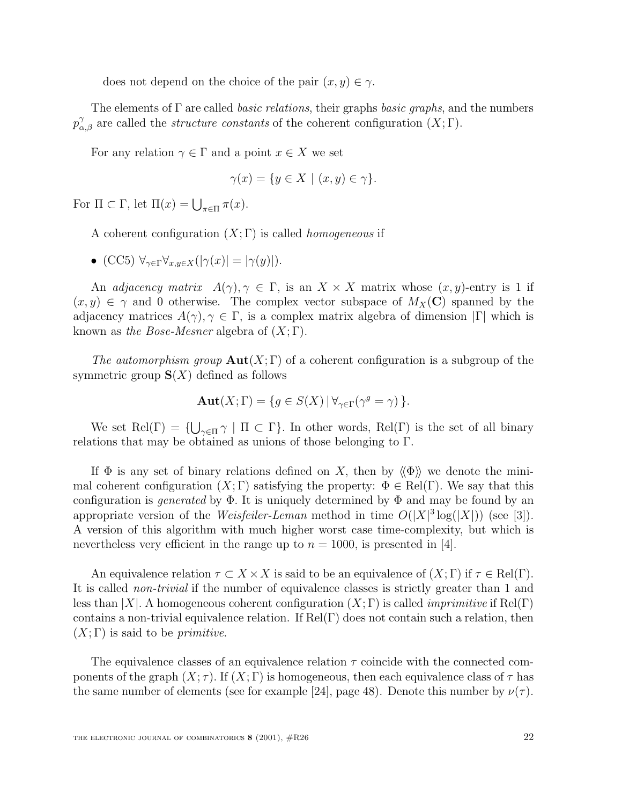does not depend on the choice of the pair  $(x, y) \in \gamma$ .

The elements of  $\Gamma$  are called *basic relations*, their graphs *basic graphs*, and the numbers  $p_{\alpha,\beta}^{\gamma}$  are called the *structure constants* of the coherent configuration  $(X;\Gamma)$ .

For any relation  $\gamma \in \Gamma$  and a point  $x \in X$  we set

$$
\gamma(x) = \{ y \in X \mid (x, y) \in \gamma \}.
$$

For  $\Pi \subset \Gamma$ , let  $\Pi(x) = \bigcup_{\pi \in \Pi} \pi(x)$ .

A coherent configuration  $(X; \Gamma)$  is called *homogeneous* if

• (CC5)  $\forall_{\gamma \in \Gamma} \forall_{x,y \in X} (|\gamma(x)| = |\gamma(y)|).$ 

An adjacency matrix  $A(\gamma), \gamma \in \Gamma$ , is an  $X \times X$  matrix whose  $(x, y)$ -entry is 1 if  $(x, y) \in \gamma$  and 0 otherwise. The complex vector subspace of  $M_X(\mathbf{C})$  spanned by the adjacency matrices  $A(\gamma), \gamma \in \Gamma$ , is a complex matrix algebra of dimension  $|\Gamma|$  which is known as the Bose-Mesner algebra of  $(X; \Gamma)$ .

The automorphism group  $\text{Aut}(X;\Gamma)$  of a coherent configuration is a subgroup of the symmetric group  $S(X)$  defined as follows

$$
\mathbf{Aut}(X;\Gamma) = \{ g \in S(X) \, | \, \forall_{\gamma \in \Gamma} (\gamma^g = \gamma) \, \}.
$$

We set Rel(Γ) =  $\{\bigcup_{\gamma \in \Pi} \gamma \mid \Pi \subset \Gamma\}$ . In other words, Rel(Γ) is the set of all binary<br>tions that may be obtained as unions of these belonging to  $\Gamma$ relations that may be obtained as unions of those belonging to Γ.

If  $\Phi$  is any set of binary relations defined on X, then by  $\langle \Phi \rangle$  we denote the minimal coherent configuration  $(X; \Gamma)$  satisfying the property:  $\Phi \in Rel(\Gamma)$ . We say that this configuration is *generated* by  $\Phi$ . It is uniquely determined by  $\Phi$  and may be found by an appropriate version of the *Weisfeiler-Leman* method in time  $O(|X|^3 \log(|X|))$  (see [3]). A version of this algorithm with much higher worst case time-complexity, but which is nevertheless very efficient in the range up to  $n = 1000$ , is presented in [4].

An equivalence relation  $\tau \subset X \times X$  is said to be an equivalence of  $(X; \Gamma)$  if  $\tau \in Rel(\Gamma)$ . It is called non-trivial if the number of equivalence classes is strictly greater than 1 and less than |X|. A homogeneous coherent configuration  $(X; \Gamma)$  is called *imprimitive* if Rel(Γ) contains a non-trivial equivalence relation. If  $Rel(\Gamma)$  does not contain such a relation, then  $(X; \Gamma)$  is said to be *primitive*.

The equivalence classes of an equivalence relation  $\tau$  coincide with the connected components of the graph  $(X; \tau)$ . If  $(X; \Gamma)$  is homogeneous, then each equivalence class of  $\tau$  has the same number of elements (see for example [24], page 48). Denote this number by  $\nu(\tau)$ .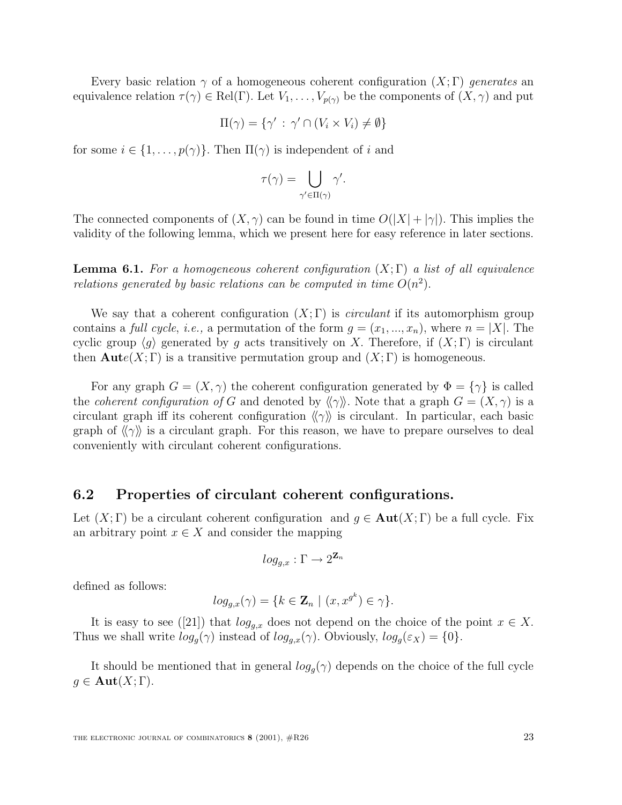Every basic relation  $\gamma$  of a homogeneous coherent configuration  $(X;\Gamma)$  generates an equivalence relation  $\tau(\gamma) \in Rel(\Gamma)$ . Let  $V_1, \ldots, V_{p(\gamma)}$  be the components of  $(X, \gamma)$  and put

$$
\Pi(\gamma) = \{ \gamma' : \gamma' \cap (V_i \times V_i) \neq \emptyset \}
$$

for some  $i \in \{1, \ldots, p(\gamma)\}\)$ . Then  $\Pi(\gamma)$  is independent of i and

$$
\tau(\gamma) = \bigcup_{\gamma' \in \Pi(\gamma)} \gamma'.
$$

The connected components of  $(X, \gamma)$  can be found in time  $O(|X| + |\gamma|)$ . This implies the validity of the following lemma, which we present here for easy reference in later sections.

**Lemma 6.1.** For a homogeneous coherent configuration  $(X;\Gamma)$  a list of all equivalence relations generated by basic relations can be computed in time  $O(n^2)$ .

We say that a coherent configuration  $(X; \Gamma)$  is *circulant* if its automorphism group contains a *full cycle*, *i.e.*, a permutation of the form  $g = (x_1, ..., x_n)$ , where  $n = |X|$ . The cyclic group  $\langle g \rangle$  generated by g acts transitively on X. Therefore, if  $(X; \Gamma)$  is circulant then  $\text{Aut}(X; \Gamma)$  is a transitive permutation group and  $(X; \Gamma)$  is homogeneous.

For any graph  $G = (X, \gamma)$  the coherent configuration generated by  $\Phi = {\gamma}$  is called the *coherent configuration of* G and denoted by  $\langle \gamma \rangle$ . Note that a graph  $G = (X, \gamma)$  is a circulant graph iff its coherent configuration  $\langle \langle \gamma \rangle \rangle$  is circulant. In particular, each basic graph of  $\langle \langle \gamma \rangle$  is a circulant graph. For this reason, we have to prepare ourselves to deal conveniently with circulant coherent configurations.

#### **6.2 Properties of circulant coherent configurations.**

Let  $(X; \Gamma)$  be a circulant coherent configuration and  $g \in \text{Aut}(X; \Gamma)$  be a full cycle. Fix an arbitrary point  $x \in X$  and consider the mapping

$$
log_{g,x}: \Gamma \to 2^{\mathbf{Z}_n}
$$

defined as follows:

$$
log_{g,x}(\gamma) = \{k \in \mathbf{Z}_n \mid (x, x^{g^k}) \in \gamma\}.
$$

It is easy to see ([21]) that  $log_{q,x}$  does not depend on the choice of the point  $x \in X$ . Thus we shall write  $log_g(\gamma)$  instead of  $log_{g,x}(\gamma)$ . Obviously,  $log_g(\varepsilon_X) = \{0\}.$ 

It should be mentioned that in general  $log_g(\gamma)$  depends on the choice of the full cycle  $g \in \text{Aut}(X; \Gamma).$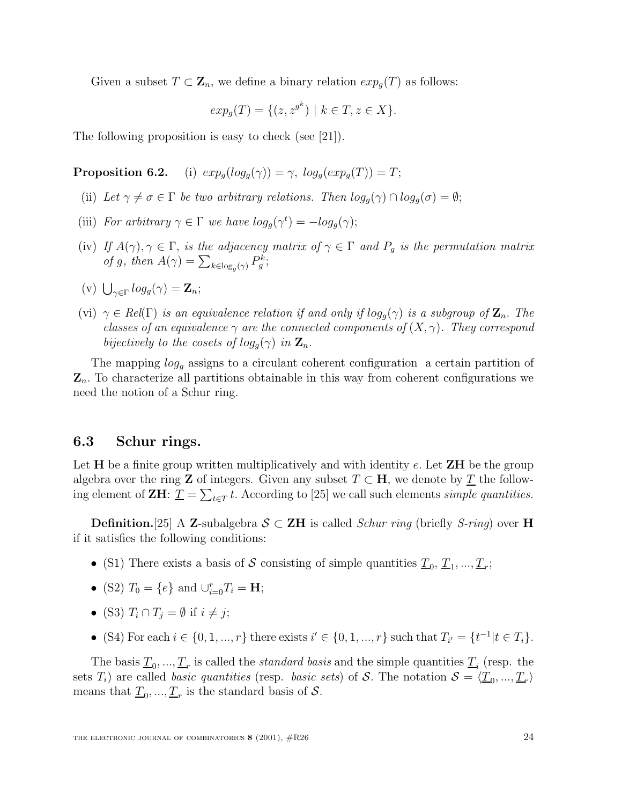Given a subset  $T \subset \mathbb{Z}_n$ , we define a binary relation  $exp_q(T)$  as follows:

$$
exp_g(T) = \{ (z, z^{g^k}) \mid k \in T, z \in X \}.
$$

The following proposition is easy to check (see [21]).

**Proposition 6.2.** (i)  $exp_a(log_a(\gamma)) = \gamma$ ,  $log_a(exp_a(T)) = T$ ;

- (ii) Let  $\gamma \neq \sigma \in \Gamma$  be two arbitrary relations. Then  $log_g(\gamma) \cap log_g(\sigma) = \emptyset;$
- (iii) For arbitrary  $\gamma \in \Gamma$  we have  $log_g(\gamma^t) = -log_g(\gamma)$ ;
- (iv) If  $A(\gamma), \gamma \in \Gamma$ , is the adjacency matrix of  $\gamma \in \Gamma$  and  $P_q$  is the permutation matrix of g, then  $A(\gamma) = \sum_{k \in \log_g(\gamma)} P_g^k$ ;
- (v)  $\bigcup_{\gamma \in \Gamma} log_g(\gamma) = \mathbf{Z}_n;$
- (vi)  $\gamma \in Rel(\Gamma)$  is an equivalence relation if and only if  $log_g(\gamma)$  is a subgroup of  $\mathbb{Z}_n$ . The classes of an equivalence  $\gamma$  are the connected components of  $(X, \gamma)$ . They correspond bijectively to the cosets of  $log_g(\gamma)$  in  $\mathbf{Z}_n$ .

The mapping  $log<sub>q</sub>$  assigns to a circulant coherent configuration a certain partition of  $\mathbf{Z}_n$ . To characterize all partitions obtainable in this way from coherent configurations we need the notion of a Schur ring.

### **6.3 Schur rings.**

Let **H** be a finite group written multiplicatively and with identity e. Let **ZH** be the group algebra over the ring **Z** of integers. Given any subset  $T \subset \mathbf{H}$ , we denote by  $\overline{T}$  the following element of **ZH**:  $\underline{T} = \sum_{t \in T} t$ . According to [25] we call such elements *simple quantities*.

**Definition.**[25] A **Z**-subalgebra  $S \subset ZH$  is called *Schur ring* (briefly *S-ring*) over **H** if it satisfies the following conditions:

- (S1) There exists a basis of S consisting of simple quantities  $\underline{T}_0, \underline{T}_1, ..., \underline{T}_r$ ;
- (S2)  $T_0 = \{e\}$  and  $\bigcup_{i=0}^{r} T_i = H;$
- (S3)  $T_i \cap T_j = \emptyset$  if  $i \neq j$ ;
- (S4) For each  $i \in \{0, 1, ..., r\}$  there exists  $i' \in \{0, 1, ..., r\}$  such that  $T_{i'} = \{t^{-1} | t \in T_i\}$ .

The basis  $T_0, ..., T_r$  is called the *standard basis* and the simple quantities  $T_i$  (resp. the  $T_i$ ) are called basis quantities (resp. basis aste) of  $S$ . The potation  $S = T$ sets  $T_i$ ) are called *basic quantities* (resp. *basic sets*) of S. The notation  $S = \langle \underline{T}_0, ..., \underline{T}_r \rangle$ means that  $\underline{T}_0, ..., \underline{T}_r$  is the standard basis of S.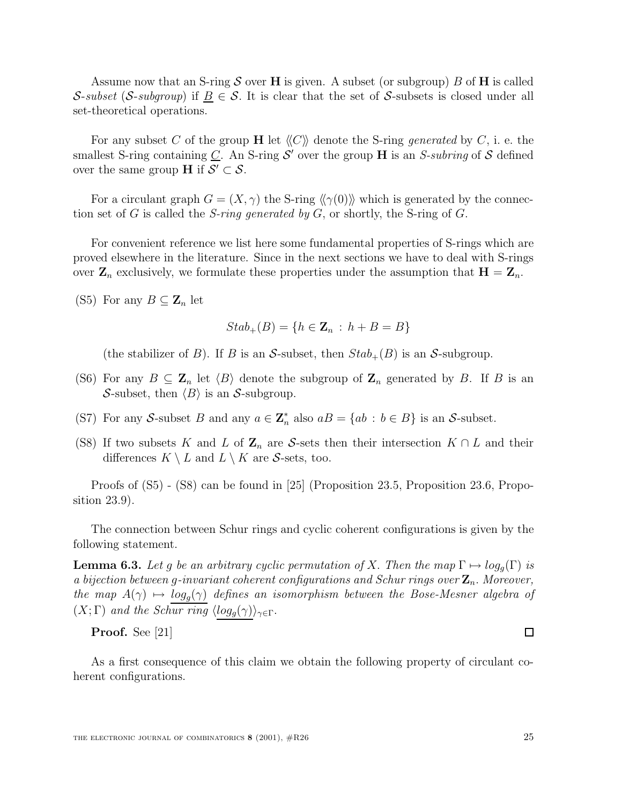Assume now that an S-ring S over **H** is given. A subset (or subgroup) B of **H** is called S-subset (S-subgroup) if  $B \in \mathcal{S}$ . It is clear that the set of S-subsets is closed under all set-theoretical operations.

For any subset C of the group **H** let  $\langle\langle C \rangle\rangle$  denote the S-ring *generated* by C, i. e. the smallest S-ring containing  $C$ . An S-ring  $S'$  over the group **H** is an S-subring of S defined over the same group **H** if  $S' \subset S$ .

For a circulant graph  $G = (X, \gamma)$  the S-ring  $\langle \langle \gamma(0) \rangle \rangle$  which is generated by the connection set of G is called the *S-ring generated by G*, or shortly, the *S-ring of G*.

For convenient reference we list here some fundamental properties of S-rings which are proved elsewhere in the literature. Since in the next sections we have to deal with S-rings over  $\mathbf{Z}_n$  exclusively, we formulate these properties under the assumption that  $\mathbf{H} = \mathbf{Z}_n$ .

(S5) For any  $B \subseteq \mathbb{Z}_n$  let

$$
Stab_{+}(B) = \{ h \in \mathbf{Z}_n : h + B = B \}
$$

(the stabilizer of B). If B is an S-subset, then  $Stab_{+}(B)$  is an S-subgroup.

- (S6) For any  $B \subseteq \mathbb{Z}_n$  let  $\langle B \rangle$  denote the subgroup of  $\mathbb{Z}_n$  generated by B. If B is an S-subset, then  $\langle B \rangle$  is an S-subgroup.
- (S7) For any S-subset B and any  $a \in \mathbb{Z}_n^*$  also  $aB = \{ab : b \in B\}$  is an S-subset.
- (S8) If two subsets K and L of  $\mathbb{Z}_n$  are S-sets then their intersection  $K \cap L$  and their differences  $K \setminus L$  and  $L \setminus K$  are S-sets, too.

Proofs of (S5) - (S8) can be found in [25] (Proposition 23.5, Proposition 23.6, Proposition 23.9).

The connection between Schur rings and cyclic coherent configurations is given by the following statement.

**Lemma 6.3.** Let g be an arbitrary cyclic permutation of X. Then the map  $\Gamma \mapsto log_q(\Gamma)$  is a bijection between g-invariant coherent configurations and Schur rings over  $\mathbf{Z}_n$ . Moreover, the map  $A(\gamma) \mapsto \log_q(\gamma)$  defines an isomorphism between the Bose-Mesner algebra of  $(X; \Gamma)$  and the Schur ring  $\langle log_g(\gamma) \rangle_{\gamma \in \Gamma}$ .

**Proof.** See [21]

As a first consequence of this claim we obtain the following property of circulant coherent configurations.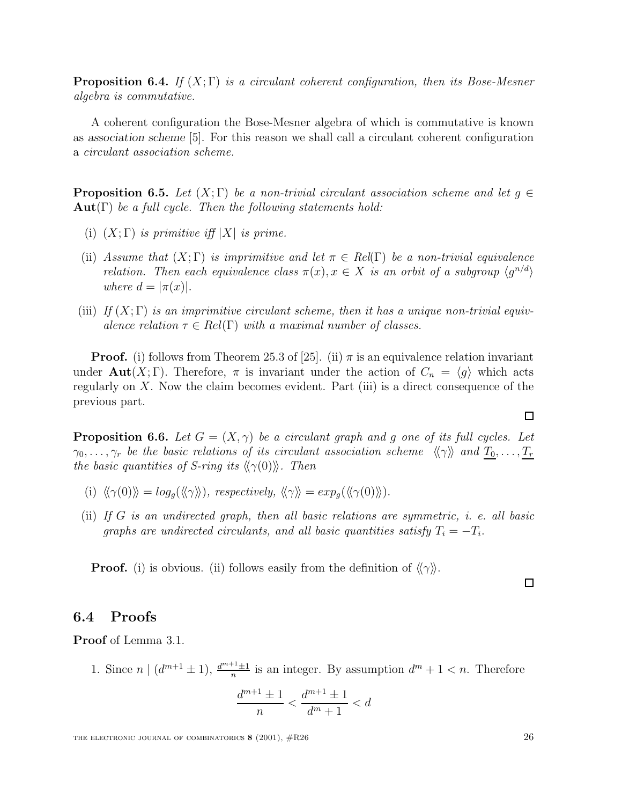**Proposition 6.4.** If  $(X; \Gamma)$  is a circulant coherent configuration, then its Bose-Mesner algebra is commutative.

A coherent configuration the Bose-Mesner algebra of which is commutative is known as *association scheme* [5]. For this reason we shall call a circulant coherent configuration a circulant association scheme.

**Proposition 6.5.** Let  $(X; \Gamma)$  be a non-trivial circulant association scheme and let  $g \in \Gamma$ **Aut**(Γ) be a full cycle. Then the following statements hold:

- (i)  $(X; \Gamma)$  is primitive iff  $|X|$  is prime.
- (ii) Assume that  $(X; \Gamma)$  is imprimitive and let  $\pi \in Rel(\Gamma)$  be a non-trivial equivalence relation. Then each equivalence class  $\pi(x), x \in X$  is an orbit of a subgroup  $\langle g^{n/d} \rangle$ where  $d = |\pi(x)|$ .
- (iii) If  $(X; \Gamma)$  is an imprimitive circulant scheme, then it has a unique non-trivial equivalence relation  $\tau \in Rel(\Gamma)$  with a maximal number of classes.

**Proof.** (i) follows from Theorem 25.3 of [25]. (ii)  $\pi$  is an equivalence relation invariant under **Aut**(X; Γ). Therefore,  $\pi$  is invariant under the action of  $C_n = \langle g \rangle$  which acts regularly on  $X$ . Now the claim becomes evident. Part (iii) is a direct consequence of the previous part.

**Proposition 6.6.** Let  $G = (X, \gamma)$  be a circulant graph and g one of its full cycles. Let  $\gamma_0,\ldots,\gamma_r$  be the basic relations of its circulant association scheme  $\langle\langle \gamma \rangle\rangle$  and  $T_0,\ldots,T_r$ the basic quantities of S-ring its  $\langle \langle \gamma(0) \rangle \rangle$ . Then

- (i)  $\langle \langle \gamma(0) \rangle \rangle = \log_q(\langle \langle \gamma \rangle \rangle)$ , respectively,  $\langle \langle \gamma \rangle \rangle = \exp_q(\langle \langle \gamma(0) \rangle \rangle)$ .
- (ii) If  $G$  is an undirected graph, then all basic relations are symmetric, i. e. all basic graphs are undirected circulants, and all basic quantities satisfy  $T_i = -T_i$ .

**Proof.** (i) is obvious. (ii) follows easily from the definition of  $\langle \langle \gamma \rangle \rangle$ .

## **6.4 Proofs**

**Proof** of Lemma 3.1.

1. Since  $n \mid (d^{m+1} \pm 1), \frac{d^{m+1} \pm 1}{n}$  is an integer. By assumption  $d^m + 1 < n$ . Therefore

$$
\frac{d^{m+1} \pm 1}{n} < \frac{d^{m+1} \pm 1}{d^m + 1} < d
$$

$$
\Box
$$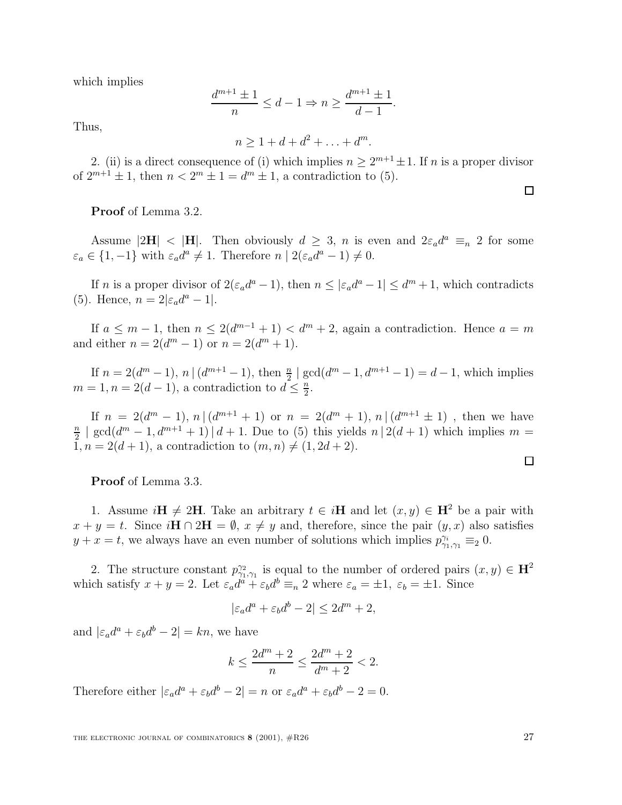which implies

$$
\frac{d^{m+1} \pm 1}{n} \le d - 1 \Rightarrow n \ge \frac{d^{m+1} \pm 1}{d - 1}.
$$

Thus,

 $n > 1 + d + d^2 + \ldots + d^m$ .

2. (ii) is a direct consequence of (i) which implies  $n \geq 2^{m+1} \pm 1$ . If n is a proper divisor of  $2^{m+1} \pm 1$ , then  $n < 2^m \pm 1 = d^m \pm 1$ , a contradiction to (5).

**Proof** of Lemma 3.2.

Assume  $|2H| < |H|$ . Then obviously  $d \geq 3$ , n is even and  $2\varepsilon_a d^a \equiv_n 2$  for some  $\varepsilon_a \in \{1, -1\}$  with  $\varepsilon_a d^a \neq 1$ . Therefore  $n \mid 2(\varepsilon_a d^a - 1) \neq 0$ .

If n is a proper divisor of  $2(\epsilon_a d^a - 1)$ , then  $n \leq |\epsilon_a d^a - 1| \leq d^m + 1$ , which contradicts (5). Hence,  $n = 2|\varepsilon_a d^a - 1|$ .

If  $a \leq m-1$ , then  $n \leq 2(d^{m-1}+1) < d^m+2$ , again a contradiction. Hence  $a = m$ and either  $n = 2(d^m - 1)$  or  $n = 2(d^m + 1)$ .

If  $n = 2(d^m - 1)$ ,  $n \mid (d^{m+1} - 1)$ , then  $\frac{n}{2} \mid \gcd(d^m - 1, d^{m+1} - 1) = d - 1$ , which implies  $m = 1, n = 2(d - 1)$ , a contradiction to  $d \leq \frac{n}{2}$ .

If  $n = 2(d^m - 1), n \mid (d^{m+1} + 1)$  or  $n = 2(d^m + 1), n \mid (d^{m+1} \pm 1)$ , then we have  $\frac{n}{2}$  | gcd( $d^m - 1$ ,  $d^{m+1} + 1$ ) |  $d + 1$ . Due to (5) this yields  $n \mid 2(d+1)$  which implies  $m = 1$ ,  $n = 2(d+1)$ , a contradiction to  $(m, n) \neq (1, 2d+2)$  $1, n = 2(d + 1)$ , a contradiction to  $(m, n) \neq (1, 2d + 2)$ .

**Proof** of Lemma 3.3.

1. Assume  $i\mathbf{H} \neq 2\mathbf{H}$ . Take an arbitrary  $t \in i\mathbf{H}$  and let  $(x, y) \in \mathbf{H}^2$  be a pair with  $x + y = t$ . Since  $i\mathbf{H} \cap 2\mathbf{H} = \emptyset$ ,  $x \neq y$  and, therefore, since the pair  $(y, x)$  also satisfies  $y + x = t$ , we always have an even number of solutions which implies  $p_{\gamma_1,\gamma_1}^{\gamma_i} \equiv_2 0$ .

2. The structure constant  $p_{\gamma_1,\gamma_1}^{\gamma_2}$  is equal to the number of ordered pairs  $(x, y) \in \mathbb{H}^2$ which satisfy  $x + y = 2$ . Let  $\varepsilon_a d^a + \varepsilon_b d^b \equiv_n 2$  where  $\varepsilon_a = \pm 1$ ,  $\varepsilon_b = \pm 1$ . Since

$$
|\varepsilon_a d^a + \varepsilon_b d^b - 2| \le 2d^m + 2,
$$

and  $|\varepsilon_a d^a + \varepsilon_b d^b - 2| = kn$ , we have

$$
k\leq \frac{2d^m+2}{n}\leq \frac{2d^m+2}{d^m+2}<2.
$$

Therefore either  $|\varepsilon_a d^a + \varepsilon_b d^b - 2| = n$  or  $\varepsilon_a d^a + \varepsilon_b d^b - 2 = 0$ .

THE ELECTRONIC JOURNAL OF COMBINATORICS **8** (2001),  $\#R26$  27

 $\Box$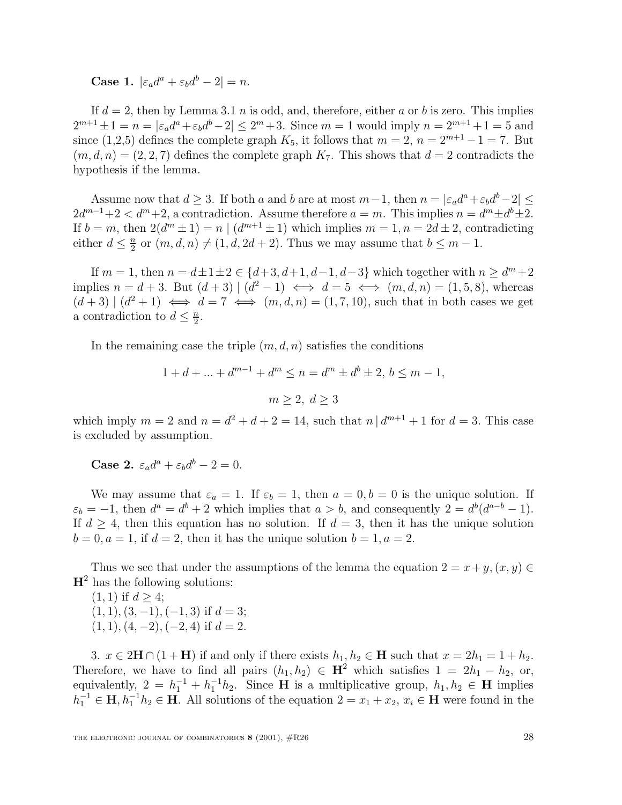**Case 1.**  $|\varepsilon_a d^a + \varepsilon_b d^b - 2| = n$ .

If  $d = 2$ , then by Lemma 3.1 n is odd, and, therefore, either a or b is zero. This implies  $2^{m+1} \pm 1 = n = |\varepsilon_a d^a + \varepsilon_b d^b - 2| \leq 2^m + 3$ . Since  $m = 1$  would imply  $n = 2^{m+1} + 1 = 5$  and since (1,2,5) defines the complete graph  $K_5$ , it follows that  $m = 2$ ,  $n = 2^{m+1} - 1 = 7$ . But  $(m, d, n) = (2, 2, 7)$  defines the complete graph  $K_7$ . This shows that  $d = 2$  contradicts the hypothesis if the lemma.

Assume now that  $d \geq 3$ . If both a and b are at most  $m-1$ , then  $n = |\varepsilon_a d^a + \varepsilon_b d^b - 2| \leq$  $2d^{m-1}+2 < d^m+2$ , a contradiction. Assume therefore  $a = m$ . This implies  $n = d^m \pm d^b \pm 2$ . If  $b = m$ , then  $2(d^m \pm 1) = n \mid (d^{m+1} \pm 1)$  which implies  $m = 1, n = 2d \pm 2$ , contradicting either  $d \leq \frac{n}{2}$  or  $(m, d, n) \neq (1, d, 2d + 2)$ . Thus we may assume that  $b \leq m - 1$ .

If  $m = 1$ , then  $n = d \pm 1 \pm 2 \in \{d+3, d+1, d-1, d-3\}$  which together with  $n \geq d^m + 2$ implies  $n = d + 3$ . But  $(d + 3) | (d^2 - 1) \iff d = 5 \iff (m, d, n) = (1, 5, 8)$ , whereas  $(d+3) | (d^2+1) \iff d=7 \iff (m, d, n) = (1, 7, 10)$ , such that in both cases we get a contradiction to  $d \leq \frac{n}{2}$ .

In the remaining case the triple  $(m, d, n)$  satisfies the conditions

$$
1 + d + \dots + d^{m-1} + d^m \le n = d^m \pm d^b \pm 2, \, b \le m - 1,
$$
  

$$
m \ge 2, \, d \ge 3
$$

which imply  $m = 2$  and  $n = d^2 + d + 2 = 14$ , such that  $n | d^{m+1} + 1$  for  $d = 3$ . This case is excluded by assumption.

**Case 2.**  $\varepsilon_a d^a + \varepsilon_b d^b - 2 = 0$ .

We may assume that  $\varepsilon_a = 1$ . If  $\varepsilon_b = 1$ , then  $a = 0, b = 0$  is the unique solution. If  $\varepsilon_b = -1$ , then  $d^a = d^b + 2$  which implies that  $a > b$ , and consequently  $2 = d^b(d^{a-b} - 1)$ . If  $d \geq 4$ , then this equation has no solution. If  $d = 3$ , then it has the unique solution  $b = 0, a = 1$ , if  $d = 2$ , then it has the unique solution  $b = 1, a = 2$ .

Thus we see that under the assumptions of the lemma the equation  $2 = x + y, (x, y) \in$  $H^2$  has the following solutions:

$$
(1, 1)
$$
 if  $d \ge 4$ ;  
 $(1, 1), (3, -1), (-1, 3)$  if  $d = 3$ ;

$$
(1, 1), (4, -2), (-2, 4)
$$
 if  $d = 2$ .

3.  $x \in 2\mathbf{H} \cap (1 + \mathbf{H})$  if and only if there exists  $h_1, h_2 \in \mathbf{H}$  such that  $x = 2h_1 = 1 + h_2$ . Therefore, we have to find all pairs  $(h_1, h_2) \in \mathbb{H}^2$  which satisfies  $1 = 2h_1 - h_2$ , or, equivalently,  $2 = h_1^{-1} + h_1^{-1}h_2$ . Since **H** is a multiplicative group,  $h_1, h_2 \in \mathbf{H}$  implies  $h_1^{-1} \subset \mathbf{H}$   $h_1^{-1}h_2 \subset \mathbf{H}$  all colutions of the countion  $2 - x + x - x \subset \mathbf{H}$  were found in the  $h_1^{-1} \in \mathbf{H}, h_1^{-1}h_2 \in \mathbf{H}$ . All solutions of the equation  $2 = x_1 + x_2, x_i \in \mathbf{H}$  were found in the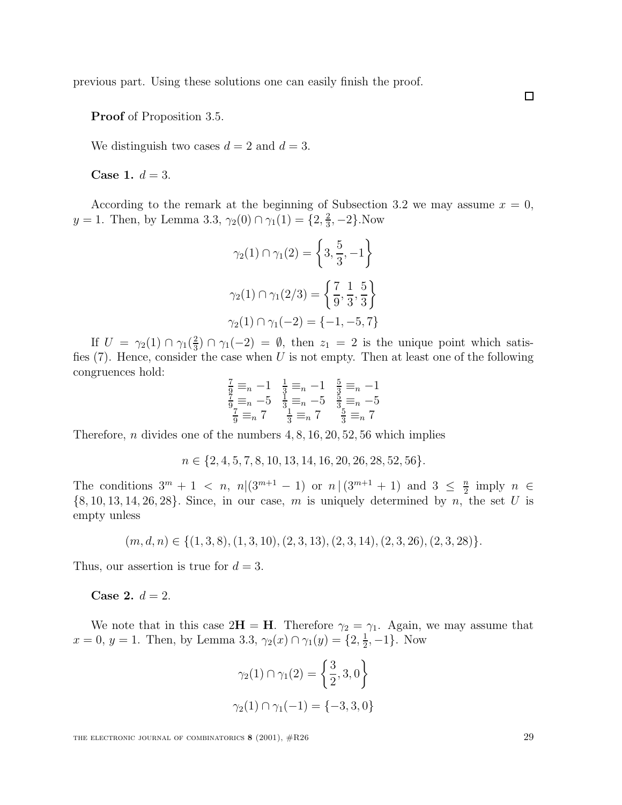previous part. Using these solutions one can easily finish the proof.

**Proof** of Proposition 3.5.

We distinguish two cases  $d = 2$  and  $d = 3$ .

**Case 1.**  $d = 3$ .

According to the remark at the beginning of Subsection 3.2 we may assume  $x = 0$ ,  $y = 1$ . Then, by Lemma 3.3,  $\gamma_2(0) \cap \gamma_1(1) = \{2, \frac{2}{3}, -2\}$ . Now

$$
\gamma_2(1) \cap \gamma_1(2) = \left\{ 3, \frac{5}{3}, -1 \right\}
$$

$$
\gamma_2(1) \cap \gamma_1(2/3) = \left\{ \frac{7}{9}, \frac{1}{3}, \frac{5}{3} \right\}
$$

$$
\gamma_2(1) \cap \gamma_1(-2) = \{-1, -5, 7\}
$$

If  $U = \gamma_2(1) \cap \gamma_1(\frac{2}{3}) \cap \gamma_1(-2) = \emptyset$ , then  $z_1 = 2$  is the unique point which satis-<br>(7) Hence consider the case when *U* is not empty. Then at least one of the following fies  $(7)$ . Hence, consider the case when U is not empty. Then at least one of the following congruences hold:

$$
\frac{7}{9} \equiv_n -1 \quad \frac{1}{3} \equiv_n -1 \quad \frac{5}{3} \equiv_n -1
$$
  

$$
\frac{7}{9} \equiv_n -5 \quad \frac{1}{3} \equiv_n -5 \quad \frac{5}{3} \equiv_n -5
$$
  

$$
\frac{7}{9} \equiv_n 7 \quad \frac{1}{3} \equiv_n 7 \quad \frac{5}{3} \equiv_n 7
$$

Therefore, *n* divides one of the numbers  $4, 8, 16, 20, 52, 56$  which implies

 $n \in \{2, 4, 5, 7, 8, 10, 13, 14, 16, 20, 26, 28, 52, 56\}.$ 

The conditions  $3^m + 1 < n$ ,  $n|(3^{m+1} - 1)$  or  $n|(3^{m+1} + 1)$  and  $3 \leq \frac{n}{2}$  imply  $n \in \mathbb{Z}$ <br>
18. 10. 13. 14. 26. 28). Since in our case, m is uniquely determined by n, the set II is  $\{8, 10, 13, 14, 26, 28\}$ . Since, in our case, m is uniquely determined by n, the set U is empty unless

 $(m, d, n) \in \{(1, 3, 8), (1, 3, 10), (2, 3, 13), (2, 3, 14), (2, 3, 26), (2, 3, 28)\}.$ 

Thus, our assertion is true for  $d = 3$ .

**Case 2.**  $d = 2$ .

We note that in this case  $2H = H$ . Therefore  $\gamma_2 = \gamma_1$ . Again, we may assume that  $x = 0, y = 1$ . Then, by Lemma 3.3,  $\gamma_2(x) \cap \gamma_1(y) = \{2, \frac{1}{2}, -1\}$ . Now

$$
\gamma_2(1) \cap \gamma_1(2) = \left\{ \frac{3}{2}, 3, 0 \right\}
$$

$$
\gamma_2(1) \cap \gamma_1(-1) = \{-3, 3, 0\}
$$

THE ELECTRONIC JOURNAL OF COMBINATORICS **8** (2001),  $\#R26$  29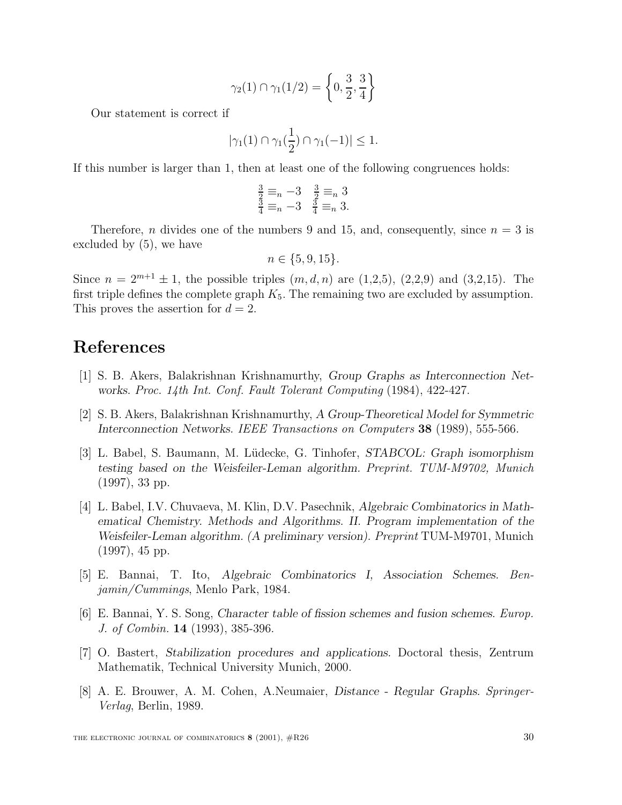$$
\gamma_2(1) \cap \gamma_1(1/2) = \left\{ 0, \frac{3}{2}, \frac{3}{4} \right\}
$$

Our statement is correct if

$$
|\gamma_1(1) \cap \gamma_1(\frac{1}{2}) \cap \gamma_1(-1)| \leq 1.
$$

If this number is larger than 1, then at least one of the following congruences holds:

$$
\frac{\frac{3}{2}}{\frac{3}{4}} \equiv_n -3 \quad \frac{\frac{3}{2}}{\frac{3}{4}} \equiv_n 3
$$
  

$$
\frac{3}{4} \equiv_n -3 \quad \frac{3}{4} \equiv_n 3.
$$

Therefore, *n* divides one of the numbers 9 and 15, and, consequently, since  $n = 3$  is excluded by (5), we have

$$
n \in \{5, 9, 15\}.
$$

Since  $n = 2^{m+1} \pm 1$ , the possible triples  $(m, d, n)$  are  $(1,2,5)$ ,  $(2,2,9)$  and  $(3,2,15)$ . The first triple defines the complete graph  $K_5$ . The remaining two are excluded by assumption. This proves the assertion for  $d = 2$ .

# **References**

- [1] S. B. Akers, Balakrishnan Krishnamurthy, *Group Graphs as Interconnection Networks.* Proc. 14th Int. Conf. Fault Tolerant Computing (1984), 422-427.
- [2] S. B. Akers, Balakrishnan Krishnamurthy, *A Group-Theoretical Model for Symmetric Interconnection Networks.* IEEE Transactions on Computers **38** (1989), 555-566.
- [3] L. Babel, S. Baumann, M. L¨udecke, G. Tinhofer, *STABCOL: Graph isomorphism testing based on the Weisfeiler-Leman algorithm.* Preprint. TUM-M9702, Munich (1997), 33 pp.
- [4] L. Babel, I.V. Chuvaeva, M. Klin, D.V. Pasechnik, *Algebraic Combinatorics in Mathematical Chemistry. Methods and Algorithms. II. Program implementation of the Weisfeiler-Leman algorithm. (A preliminary version).* Preprint TUM-M9701, Munich (1997), 45 pp.
- [5] E. Bannai, T. Ito, *Algebraic Combinatorics I, Association Schemes.* Benjamin/Cummings, Menlo Park, 1984.
- [6] E. Bannai, Y. S. Song, *Character table of fission schemes and fusion schemes.* Europ. J. of Combin. **14** (1993), 385-396.
- [7] O. Bastert, *Stabilization procedures and applications.* Doctoral thesis, Zentrum Mathematik, Technical University Munich, 2000.
- [8] A. E. Brouwer, A. M. Cohen, A.Neumaier, *Distance Regular Graphs.* Springer-Verlag, Berlin, 1989.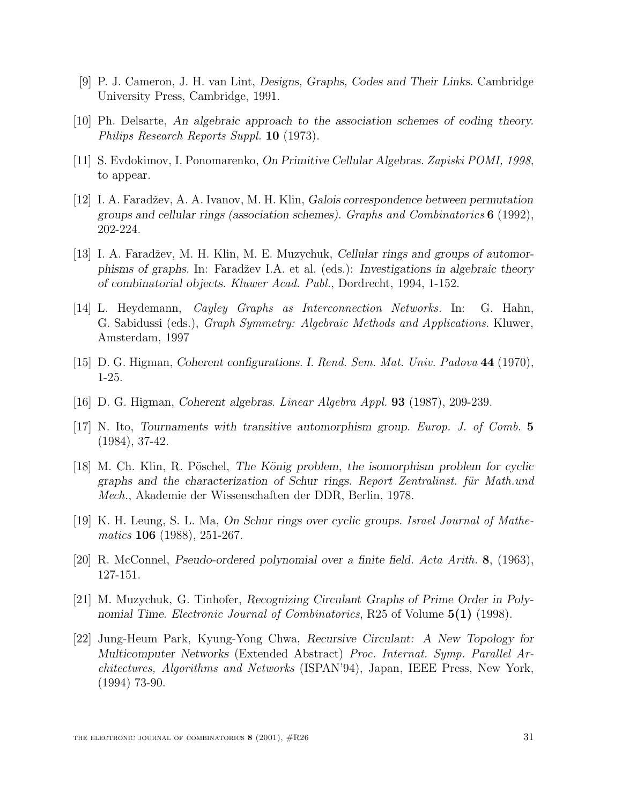- [9] P. J. Cameron, J. H. van Lint, *Designs, Graphs, Codes and Their Links.* Cambridge University Press, Cambridge, 1991.
- [10] Ph. Delsarte, *An algebraic approach to the association schemes of coding theory.* Philips Research Reports Suppl. **10** (1973).
- [11] S. Evdokimov, I. Ponomarenko, *On Primitive Cellular Algebras.* Zapiski POMI, 1998, to appear.
- [12] I. A. Faradžev, A. A. Ivanov, M. H. Klin, *Galois correspondence between permutation groups and cellular rings (association schemes).* Graphs and Combinatorics **6** (1992), 202-224.
- [13] I. A. Faradžev, M. H. Klin, M. E. Muzychuk, *Cellular rings and groups of automorphisms of graphs.* In: Faradˇzev I.A. et al. (eds.): *Investigations in algebraic theory of combinatorial objects.* Kluwer Acad. Publ., Dordrecht, 1994, 1-152.
- [14] L. Heydemann, Cayley Graphs as Interconnection Networks. In: G. Hahn, G. Sabidussi (eds.), Graph Symmetry: Algebraic Methods and Applications. Kluwer, Amsterdam, 1997
- [15] D. G. Higman, *Coherent configurations. I.* Rend. Sem. Mat. Univ. Padova **44** (1970), 1-25.
- [16] D. G. Higman, *Coherent algebras.* Linear Algebra Appl. **93** (1987), 209-239.
- [17] N. Ito, *Tournaments with transitive automorphism group.* Europ. J. of Comb. **5** (1984), 37-42.
- [18] M. Ch. Klin, R. Pöschel, *The König problem, the isomorphism problem for cyclic* graphs and the characterization of Schur rings. Report Zentralinst. für Math.und Mech., Akademie der Wissenschaften der DDR, Berlin, 1978.
- [19] K. H. Leung, S. L. Ma, *On Schur rings over cyclic groups.* Israel Journal of Mathematics **106** (1988), 251-267.
- [20] R. McConnel, *Pseudo-ordered polynomial over a finite field.* Acta Arith. **8**, (1963), 127-151.
- [21] M. Muzychuk, G. Tinhofer, *Recognizing Circulant Graphs of Prime Order in Polynomial Time.* Electronic Journal of Combinatorics, R25 of Volume **5(1)** (1998).
- [22] Jung-Heum Park, Kyung-Yong Chwa, *Recursive Circulant: A New Topology for Multicomputer Networks* (Extended Abstract) Proc. Internat. Symp. Parallel Architectures, Algorithms and Networks (ISPAN'94), Japan, IEEE Press, New York, (1994) 73-90.